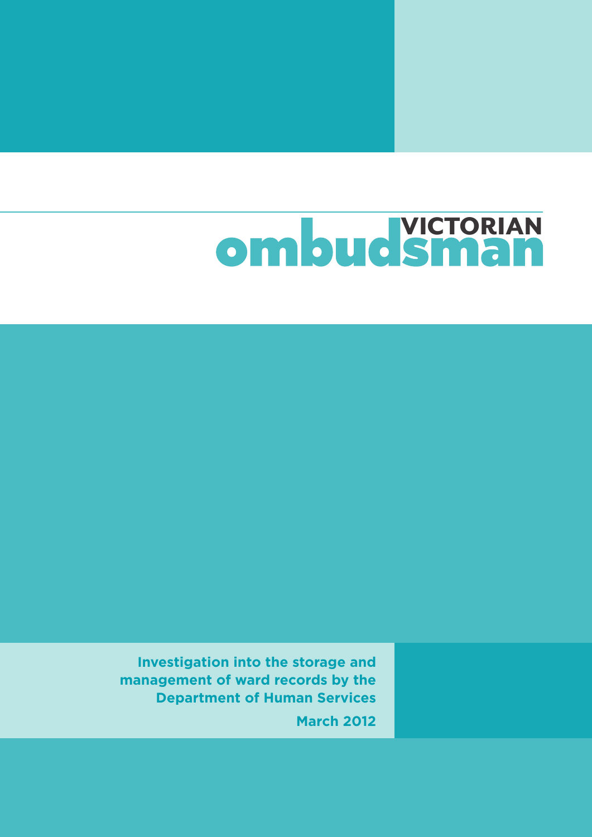# ombud Sman

**Investigation into the storage and management of ward records by the Department of Human Services March 2012**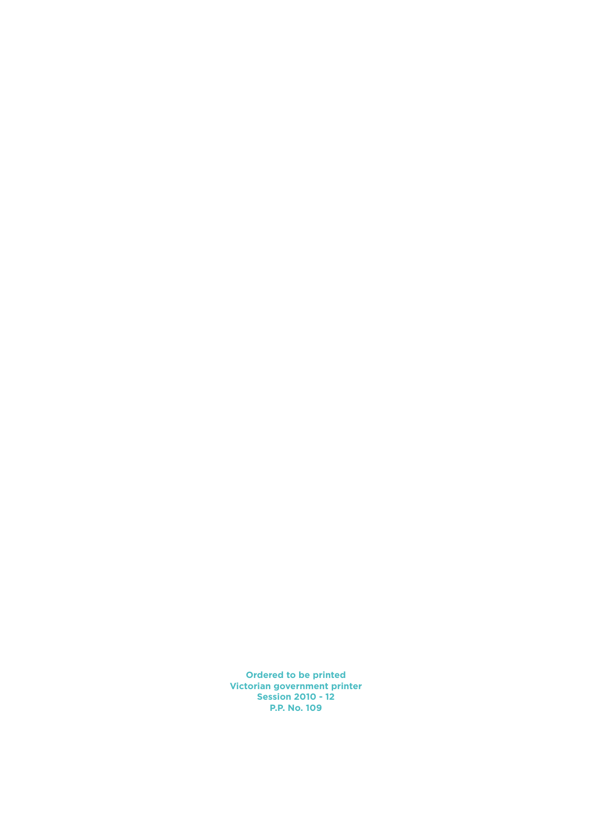**Ordered to be printed Victorian government printer Session 2010 - 12 P.P. No. 109**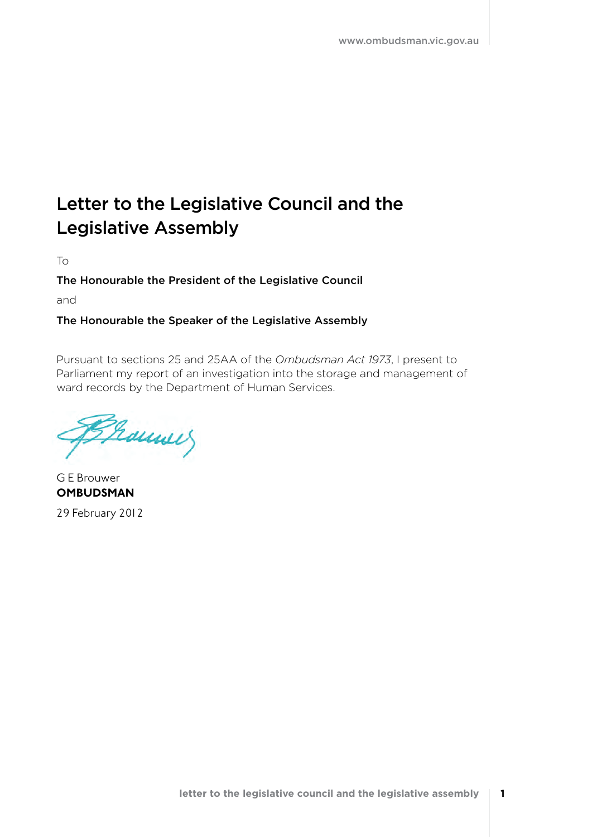### Letter to the Legislative Council and the Legislative Assembly

To

### The Honourable the President of the Legislative Council

and

### The Honourable the Speaker of the Legislative Assembly

Pursuant to sections 25 and 25AA of the *Ombudsman Act 1973*, I present to Parliament my report of an investigation into the storage and management of ward records by the Department of Human Services.

Franner

G E Brouwer **OMBUDSMAN** 29 February 2012

**letter to the legislative council and the legislative assembly 1**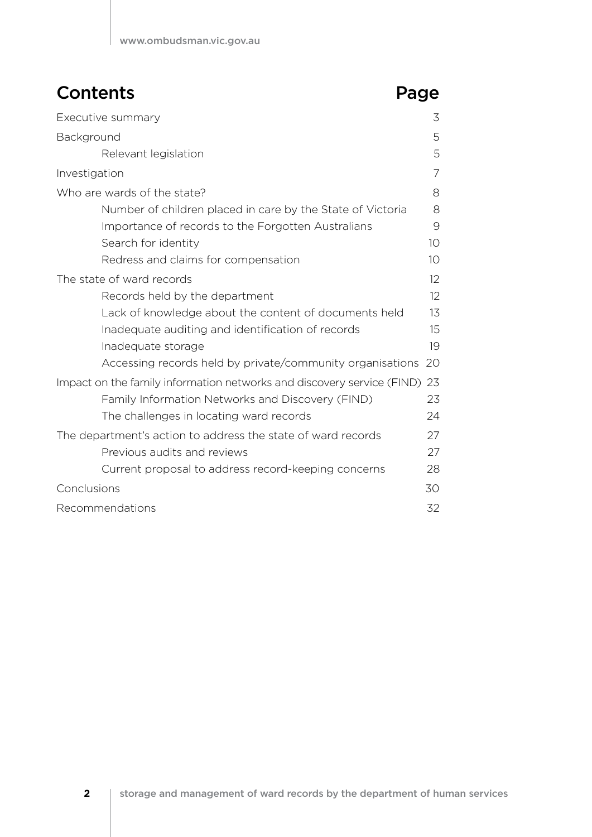### **Contents** Page

| Executive summary                                                      | 3  |
|------------------------------------------------------------------------|----|
| Background                                                             | 5  |
| Relevant legislation                                                   | 5  |
| Investigation                                                          | 7  |
| Who are wards of the state?                                            | 8  |
| Number of children placed in care by the State of Victoria             | 8  |
| Importance of records to the Forgotten Australians                     | 9  |
| Search for identity                                                    | 10 |
| Redress and claims for compensation                                    | 10 |
| The state of ward records                                              | 12 |
| Records held by the department                                         | 12 |
| Lack of knowledge about the content of documents held                  | 13 |
| Inadequate auditing and identification of records                      | 15 |
| Inadequate storage                                                     | 19 |
| Accessing records held by private/community organisations              | 20 |
| Impact on the family information networks and discovery service (FIND) | 23 |
| Family Information Networks and Discovery (FIND)                       | 23 |
| The challenges in locating ward records                                | 24 |
| The department's action to address the state of ward records           | 27 |
| Previous audits and reviews                                            | 27 |
| Current proposal to address record-keeping concerns                    | 28 |
| Conclusions                                                            | 30 |
| Recommendations                                                        | 32 |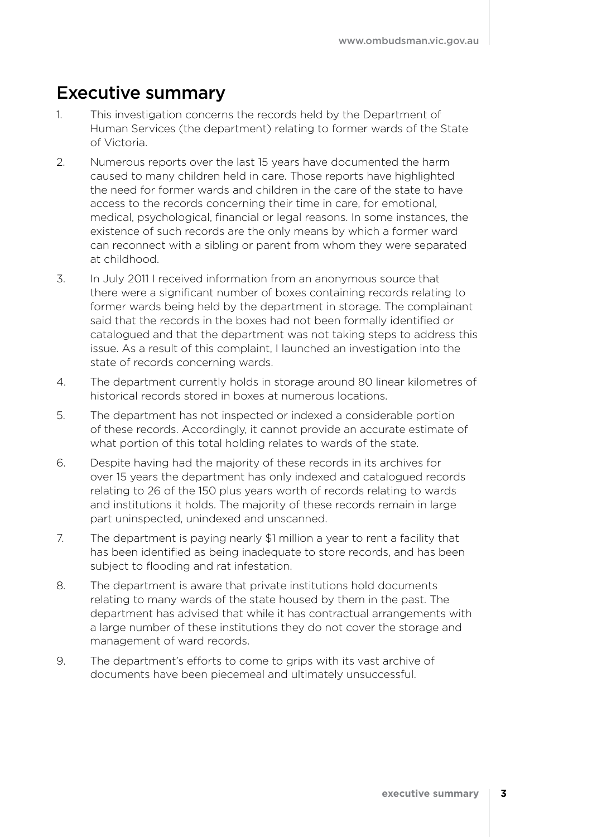### Executive summary

- 1. This investigation concerns the records held by the Department of Human Services (the department) relating to former wards of the State of Victoria.
- 2. Numerous reports over the last 15 years have documented the harm caused to many children held in care. Those reports have highlighted the need for former wards and children in the care of the state to have access to the records concerning their time in care, for emotional, medical, psychological, financial or legal reasons. In some instances, the existence of such records are the only means by which a former ward can reconnect with a sibling or parent from whom they were separated at childhood.
- 3. In July 2011 I received information from an anonymous source that there were a significant number of boxes containing records relating to former wards being held by the department in storage. The complainant said that the records in the boxes had not been formally identified or catalogued and that the department was not taking steps to address this issue. As a result of this complaint, I launched an investigation into the state of records concerning wards.
- 4. The department currently holds in storage around 80 linear kilometres of historical records stored in boxes at numerous locations.
- 5. The department has not inspected or indexed a considerable portion of these records. Accordingly, it cannot provide an accurate estimate of what portion of this total holding relates to wards of the state.
- 6. Despite having had the majority of these records in its archives for over 15 years the department has only indexed and catalogued records relating to 26 of the 150 plus years worth of records relating to wards and institutions it holds. The majority of these records remain in large part uninspected, unindexed and unscanned.
- 7. The department is paying nearly \$1 million a year to rent a facility that has been identified as being inadequate to store records, and has been subject to flooding and rat infestation.
- 8. The department is aware that private institutions hold documents relating to many wards of the state housed by them in the past. The department has advised that while it has contractual arrangements with a large number of these institutions they do not cover the storage and management of ward records.
- 9. The department's efforts to come to grips with its vast archive of documents have been piecemeal and ultimately unsuccessful.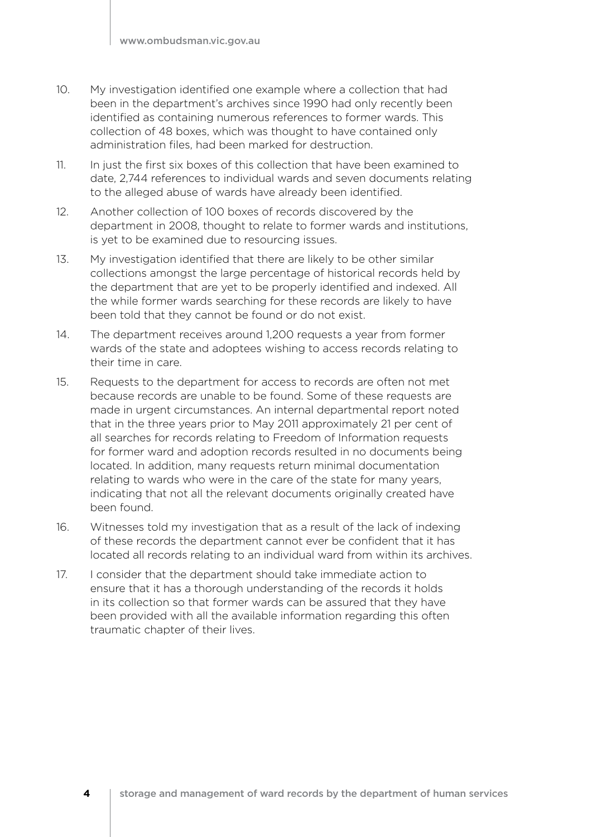- 10. My investigation identified one example where a collection that had been in the department's archives since 1990 had only recently been identified as containing numerous references to former wards. This collection of 48 boxes, which was thought to have contained only administration files, had been marked for destruction.
- 11. In just the first six boxes of this collection that have been examined to date, 2,744 references to individual wards and seven documents relating to the alleged abuse of wards have already been identified.
- 12. Another collection of 100 boxes of records discovered by the department in 2008, thought to relate to former wards and institutions, is yet to be examined due to resourcing issues.
- 13. My investigation identified that there are likely to be other similar collections amongst the large percentage of historical records held by the department that are yet to be properly identified and indexed. All the while former wards searching for these records are likely to have been told that they cannot be found or do not exist.
- 14. The department receives around 1,200 requests a year from former wards of the state and adoptees wishing to access records relating to their time in care.
- 15. Requests to the department for access to records are often not met because records are unable to be found. Some of these requests are made in urgent circumstances. An internal departmental report noted that in the three years prior to May 2011 approximately 21 per cent of all searches for records relating to Freedom of Information requests for former ward and adoption records resulted in no documents being located. In addition, many requests return minimal documentation relating to wards who were in the care of the state for many years, indicating that not all the relevant documents originally created have been found.
- 16. Witnesses told my investigation that as a result of the lack of indexing of these records the department cannot ever be confident that it has located all records relating to an individual ward from within its archives.
- 17. I consider that the department should take immediate action to ensure that it has a thorough understanding of the records it holds in its collection so that former wards can be assured that they have been provided with all the available information regarding this often traumatic chapter of their lives.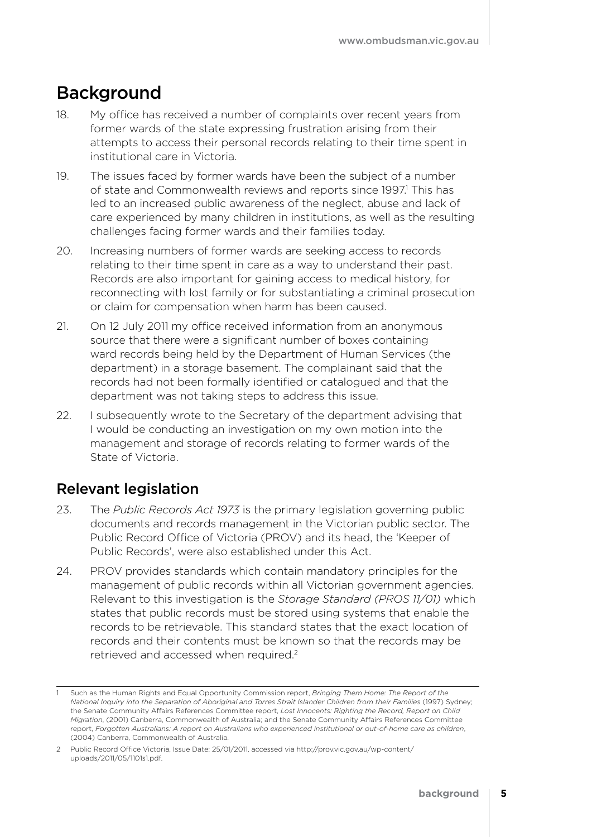### Background

- 18. My office has received a number of complaints over recent years from former wards of the state expressing frustration arising from their attempts to access their personal records relating to their time spent in institutional care in Victoria.
- 19. The issues faced by former wards have been the subject of a number of state and Commonwealth reviews and reports since 1997.<sup>1</sup> This has led to an increased public awareness of the neglect, abuse and lack of care experienced by many children in institutions, as well as the resulting challenges facing former wards and their families today.
- 20. Increasing numbers of former wards are seeking access to records relating to their time spent in care as a way to understand their past. Records are also important for gaining access to medical history, for reconnecting with lost family or for substantiating a criminal prosecution or claim for compensation when harm has been caused.
- 21. On 12 July 2011 my office received information from an anonymous source that there were a significant number of boxes containing ward records being held by the Department of Human Services (the department) in a storage basement. The complainant said that the records had not been formally identified or catalogued and that the department was not taking steps to address this issue.
- 22. I subsequently wrote to the Secretary of the department advising that I would be conducting an investigation on my own motion into the management and storage of records relating to former wards of the State of Victoria.

### Relevant legislation

- 23. The *Public Records Act 1973* is the primary legislation governing public documents and records management in the Victorian public sector. The Public Record Office of Victoria (PROV) and its head, the 'Keeper of Public Records', were also established under this Act.
- 24. PROV provides standards which contain mandatory principles for the management of public records within all Victorian government agencies. Relevant to this investigation is the *Storage Standard (PROS 11/01)* which states that public records must be stored using systems that enable the records to be retrievable. This standard states that the exact location of records and their contents must be known so that the records may be retrieved and accessed when required.2

<sup>1</sup> Such as the Human Rights and Equal Opportunity Commission report, *Bringing Them Home: The Report of the National Inquiry into the Separation of Aboriginal and Torres Strait Islander Children from their Families* (1997) Sydney; the Senate Community Affairs References Committee report, *Lost Innocents: Righting the Record, Report on Child Migration*, (2001) Canberra, Commonwealth of Australia; and the Senate Community Affairs References Committee report, *Forgotten Australians: A report on Australians who experienced institutional or out-of-home care as children*, (2004) Canberra, Commonwealth of Australia.

<sup>2</sup> Public Record Office Victoria, Issue Date: 25/01/2011, accessed via http://prov.vic.gov.au/wp-content/ uploads/2011/05/1101s1.pdf.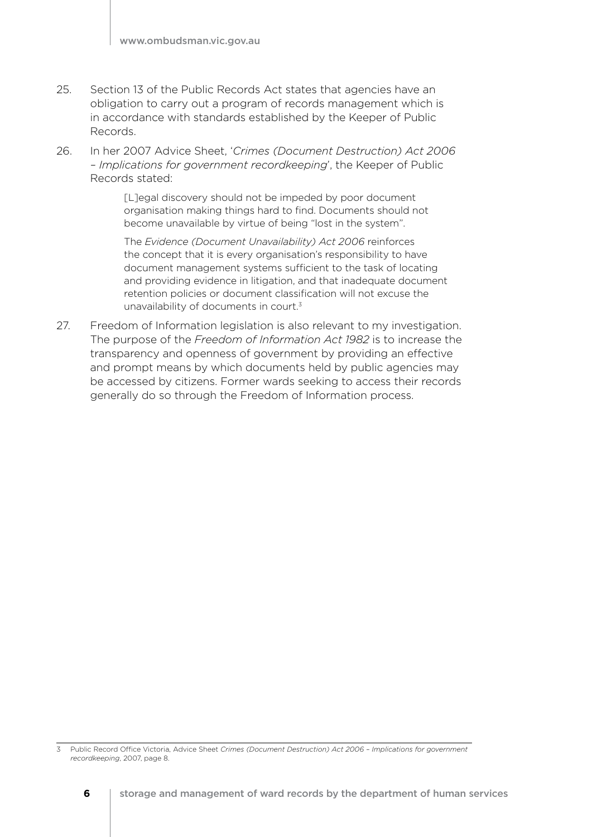- 25. Section 13 of the Public Records Act states that agencies have an obligation to carry out a program of records management which is in accordance with standards established by the Keeper of Public Records.
- 26. In her 2007 Advice Sheet, '*Crimes (Document Destruction) Act 2006 – Implications for government recordkeeping*', the Keeper of Public Records stated:

[L]egal discovery should not be impeded by poor document organisation making things hard to find. Documents should not become unavailable by virtue of being "lost in the system".

The *Evidence (Document Unavailability) Act 2006* reinforces the concept that it is every organisation's responsibility to have document management systems sufficient to the task of locating and providing evidence in litigation, and that inadequate document retention policies or document classification will not excuse the unavailability of documents in court.3

27. Freedom of Information legislation is also relevant to my investigation. The purpose of the *Freedom of Information Act 1982* is to increase the transparency and openness of government by providing an effective and prompt means by which documents held by public agencies may be accessed by citizens. Former wards seeking to access their records generally do so through the Freedom of Information process.

3 Public Record Office Victoria, Advice Sheet *Crimes (Document Destruction) Act 2006 – Implications for government recordkeeping*, 2007, page 8.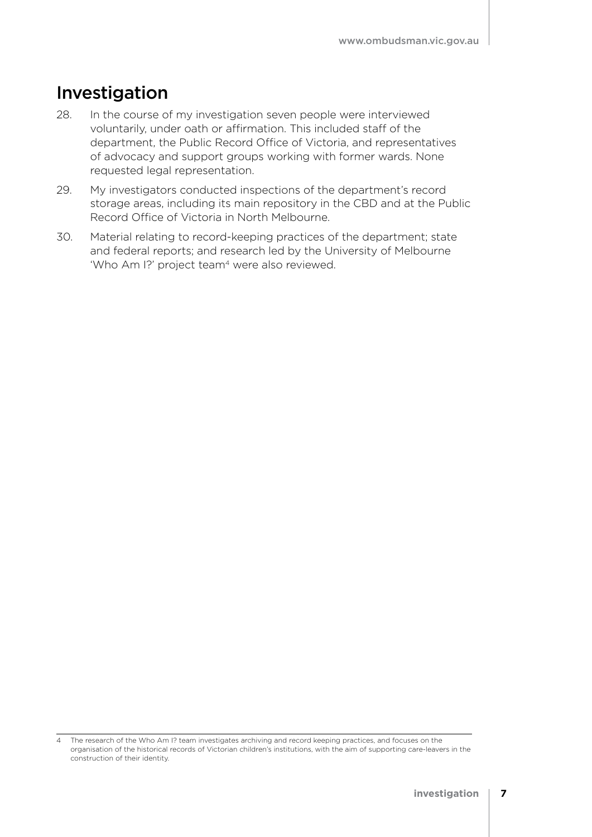### Investigation

- 28. In the course of my investigation seven people were interviewed voluntarily, under oath or affirmation. This included staff of the department, the Public Record Office of Victoria, and representatives of advocacy and support groups working with former wards. None requested legal representation.
- 29. My investigators conducted inspections of the department's record storage areas, including its main repository in the CBD and at the Public Record Office of Victoria in North Melbourne.
- 30. Material relating to record-keeping practices of the department; state and federal reports; and research led by the University of Melbourne 'Who Am I?' project team<sup>4</sup> were also reviewed.

<sup>4</sup> The research of the Who Am I? team investigates archiving and record keeping practices, and focuses on the organisation of the historical records of Victorian children's institutions, with the aim of supporting care-leavers in the construction of their identity.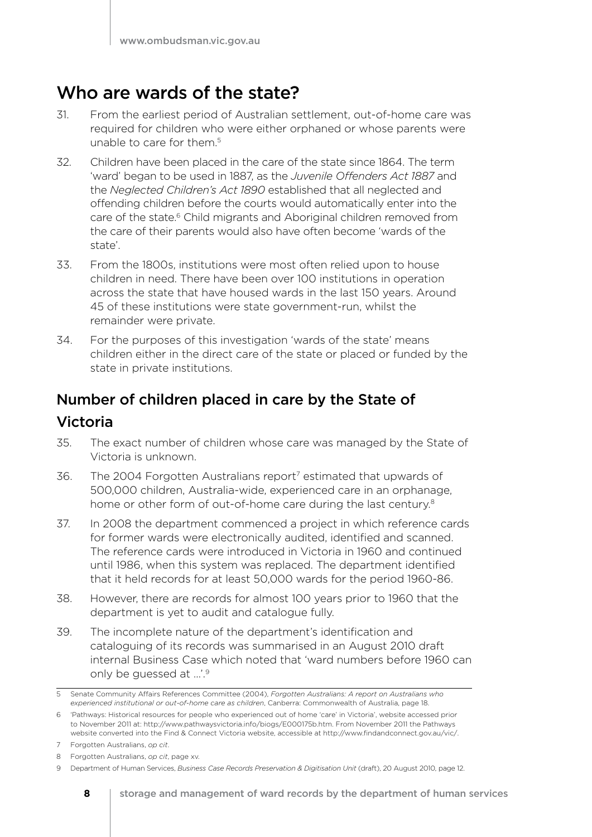### Who are wards of the state?

- 31. From the earliest period of Australian settlement, out-of-home care was required for children who were either orphaned or whose parents were unable to care for them.<sup>5</sup>
- 32. Children have been placed in the care of the state since 1864. The term 'ward' began to be used in 1887, as the *Juvenile Offenders Act 1887* and the *Neglected Children's Act 1890* established that all neglected and offending children before the courts would automatically enter into the care of the state.<sup>6</sup> Child migrants and Aboriginal children removed from the care of their parents would also have often become 'wards of the state'.
- 33. From the 1800s, institutions were most often relied upon to house children in need. There have been over 100 institutions in operation across the state that have housed wards in the last 150 years. Around 45 of these institutions were state government-run, whilst the remainder were private.
- 34. For the purposes of this investigation 'wards of the state' means children either in the direct care of the state or placed or funded by the state in private institutions.

### Number of children placed in care by the State of Victoria

- 35. The exact number of children whose care was managed by the State of Victoria is unknown.
- 36. The 2004 Forgotten Australians report<sup>7</sup> estimated that upwards of 500,000 children, Australia-wide, experienced care in an orphanage, home or other form of out-of-home care during the last century.<sup>8</sup>
- 37. In 2008 the department commenced a project in which reference cards for former wards were electronically audited, identified and scanned. The reference cards were introduced in Victoria in 1960 and continued until 1986, when this system was replaced. The department identified that it held records for at least 50,000 wards for the period 1960-86.
- 38. However, there are records for almost 100 years prior to 1960 that the department is yet to audit and catalogue fully.
- 39. The incomplete nature of the department's identification and cataloguing of its records was summarised in an August 2010 draft internal Business Case which noted that 'ward numbers before 1960 can only be guessed at …'.9

<sup>5</sup> Senate Community Affairs References Committee (2004), *Forgotten Australians: A report on Australians who experienced institutional or out-of-home care as children*, Canberra: Commonwealth of Australia, page 18.

<sup>6</sup> 'Pathways: Historical resources for people who experienced out of home 'care' in Victoria', website accessed prior to November 2011 at: http://www.pathwaysvictoria.info/biogs/E000175b.htm. From November 2011 the Pathways website converted into the Find & Connect Victoria website, accessible at http://www.findandconnect.gov.au/vic/.

<sup>7</sup> Forgotten Australians, *op cit*.

<sup>8</sup> Forgotten Australians, *op cit*, page xv.

<sup>9</sup> Department of Human Services, *Business Case Records Preservation & Digitisation Unit* (draft), 20 August 2010, page 12.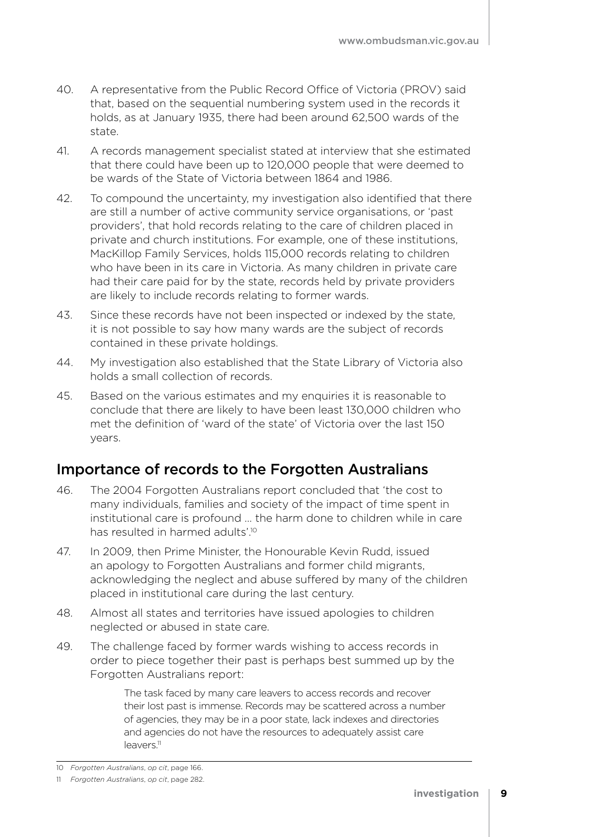- 40. A representative from the Public Record Office of Victoria (PROV) said that, based on the sequential numbering system used in the records it holds, as at January 1935, there had been around 62,500 wards of the state.
- 41. A records management specialist stated at interview that she estimated that there could have been up to 120,000 people that were deemed to be wards of the State of Victoria between 1864 and 1986.
- 42. To compound the uncertainty, my investigation also identified that there are still a number of active community service organisations, or 'past providers', that hold records relating to the care of children placed in private and church institutions. For example, one of these institutions, MacKillop Family Services, holds 115,000 records relating to children who have been in its care in Victoria. As many children in private care had their care paid for by the state, records held by private providers are likely to include records relating to former wards.
- 43. Since these records have not been inspected or indexed by the state, it is not possible to say how many wards are the subject of records contained in these private holdings.
- 44. My investigation also established that the State Library of Victoria also holds a small collection of records.
- 45. Based on the various estimates and my enquiries it is reasonable to conclude that there are likely to have been least 130,000 children who met the definition of 'ward of the state' of Victoria over the last 150 years.

### Importance of records to the Forgotten Australians

- 46. The 2004 Forgotten Australians report concluded that 'the cost to many individuals, families and society of the impact of time spent in institutional care is profound … the harm done to children while in care has resulted in harmed adults'.10
- 47. In 2009, then Prime Minister, the Honourable Kevin Rudd, issued an apology to Forgotten Australians and former child migrants, acknowledging the neglect and abuse suffered by many of the children placed in institutional care during the last century.
- 48. Almost all states and territories have issued apologies to children neglected or abused in state care.
- 49. The challenge faced by former wards wishing to access records in order to piece together their past is perhaps best summed up by the Forgotten Australians report:

The task faced by many care leavers to access records and recover their lost past is immense. Records may be scattered across a number of agencies, they may be in a poor state, lack indexes and directories and agencies do not have the resources to adequately assist care leavers.<sup>11</sup>

<sup>10</sup> *Forgotten Australians*, *op cit*, page 166.

<sup>11</sup> *Forgotten Australians*, *op cit*, page 282.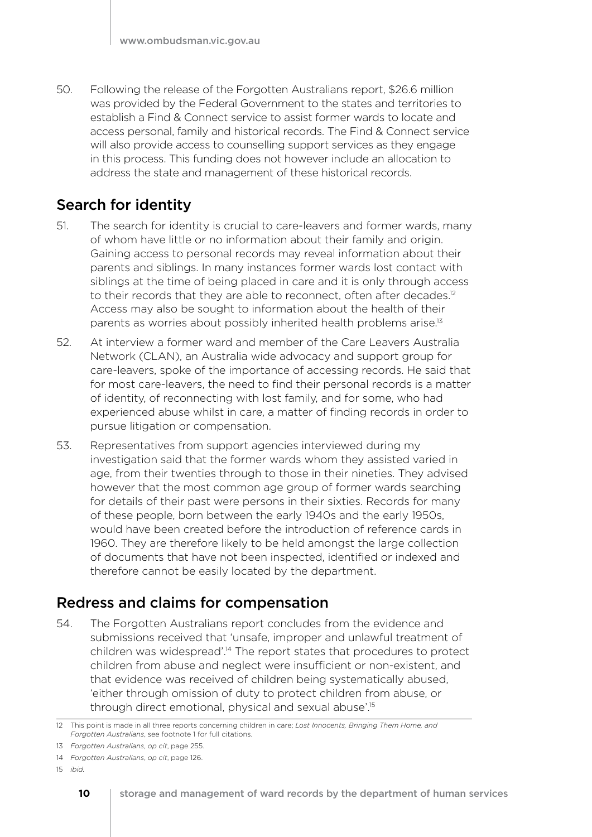50. Following the release of the Forgotten Australians report, \$26.6 million was provided by the Federal Government to the states and territories to establish a Find & Connect service to assist former wards to locate and access personal, family and historical records. The Find & Connect service will also provide access to counselling support services as they engage in this process. This funding does not however include an allocation to address the state and management of these historical records.

### Search for identity

- 51. The search for identity is crucial to care-leavers and former wards, many of whom have little or no information about their family and origin. Gaining access to personal records may reveal information about their parents and siblings. In many instances former wards lost contact with siblings at the time of being placed in care and it is only through access to their records that they are able to reconnect, often after decades.<sup>12</sup> Access may also be sought to information about the health of their parents as worries about possibly inherited health problems arise.13
- 52. At interview a former ward and member of the Care Leavers Australia Network (CLAN), an Australia wide advocacy and support group for care-leavers, spoke of the importance of accessing records. He said that for most care-leavers, the need to find their personal records is a matter of identity, of reconnecting with lost family, and for some, who had experienced abuse whilst in care, a matter of finding records in order to pursue litigation or compensation.
- 53. Representatives from support agencies interviewed during my investigation said that the former wards whom they assisted varied in age, from their twenties through to those in their nineties. They advised however that the most common age group of former wards searching for details of their past were persons in their sixties. Records for many of these people, born between the early 1940s and the early 1950s, would have been created before the introduction of reference cards in 1960. They are therefore likely to be held amongst the large collection of documents that have not been inspected, identified or indexed and therefore cannot be easily located by the department.

### Redress and claims for compensation

54. The Forgotten Australians report concludes from the evidence and submissions received that 'unsafe, improper and unlawful treatment of children was widespread'.14 The report states that procedures to protect children from abuse and neglect were insufficient or non-existent, and that evidence was received of children being systematically abused, 'either through omission of duty to protect children from abuse, or through direct emotional, physical and sexual abuse'.15

<sup>12</sup> This point is made in all three reports concerning children in care; *Lost Innocents, Bringing Them Home, and Forgotten Australians*, see footnote 1 for full citations.

<sup>13</sup> *Forgotten Australians*, *op cit*, page 255.

<sup>14</sup> *Forgotten Australians*, *op cit*, page 126.

<sup>15</sup> *ibid.*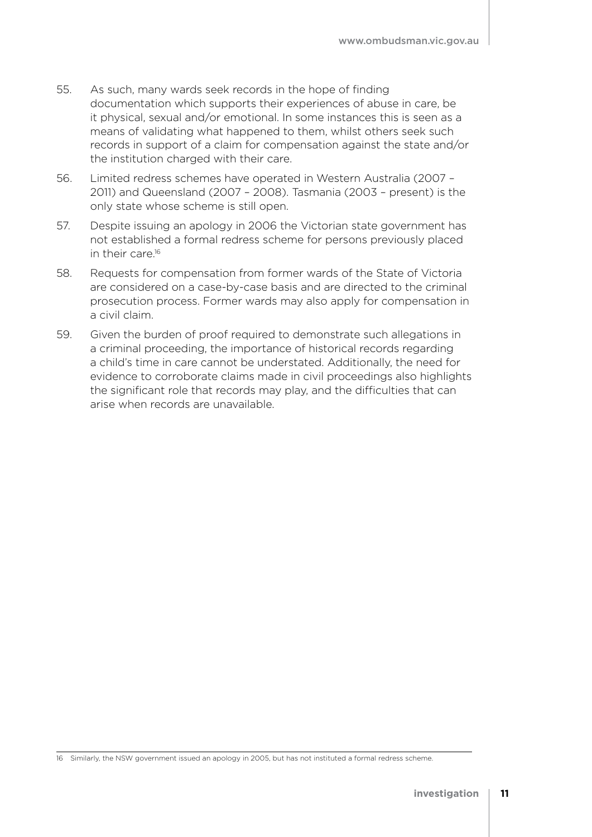- 55. As such, many wards seek records in the hope of finding documentation which supports their experiences of abuse in care, be it physical, sexual and/or emotional. In some instances this is seen as a means of validating what happened to them, whilst others seek such records in support of a claim for compensation against the state and/or the institution charged with their care.
- 56. Limited redress schemes have operated in Western Australia (2007 2011) and Queensland (2007 – 2008). Tasmania (2003 – present) is the only state whose scheme is still open.
- 57. Despite issuing an apology in 2006 the Victorian state government has not established a formal redress scheme for persons previously placed in their care.<sup>16</sup>
- 58. Requests for compensation from former wards of the State of Victoria are considered on a case-by-case basis and are directed to the criminal prosecution process. Former wards may also apply for compensation in a civil claim.
- 59. Given the burden of proof required to demonstrate such allegations in a criminal proceeding, the importance of historical records regarding a child's time in care cannot be understated. Additionally, the need for evidence to corroborate claims made in civil proceedings also highlights the significant role that records may play, and the difficulties that can arise when records are unavailable.

<sup>16</sup> Similarly, the NSW government issued an apology in 2005, but has not instituted a formal redress scheme.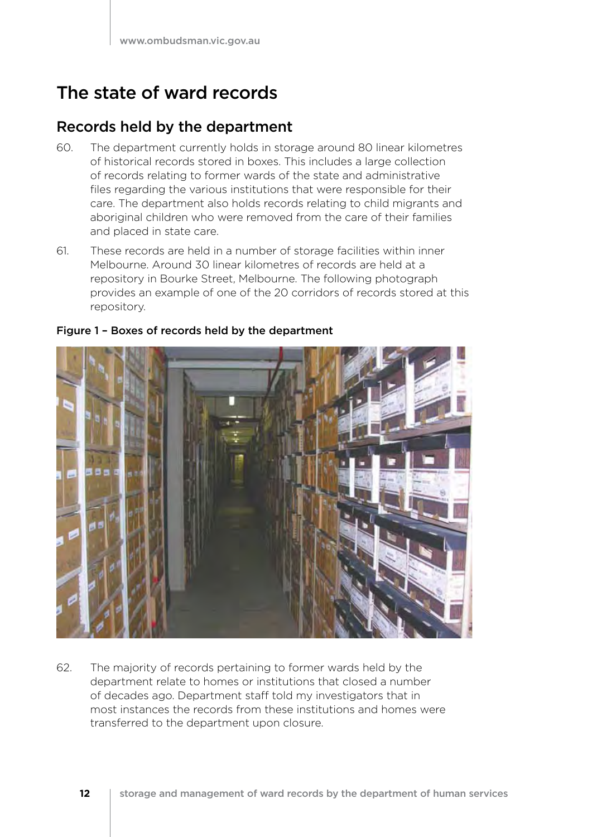### The state of ward records

### Records held by the department

- 60. The department currently holds in storage around 80 linear kilometres of historical records stored in boxes. This includes a large collection of records relating to former wards of the state and administrative files regarding the various institutions that were responsible for their care. The department also holds records relating to child migrants and aboriginal children who were removed from the care of their families and placed in state care.
- 61. These records are held in a number of storage facilities within inner Melbourne. Around 30 linear kilometres of records are held at a repository in Bourke Street, Melbourne. The following photograph provides an example of one of the 20 corridors of records stored at this repository.



### Figure 1 – Boxes of records held by the department

62. The majority of records pertaining to former wards held by the department relate to homes or institutions that closed a number of decades ago. Department staff told my investigators that in most instances the records from these institutions and homes were transferred to the department upon closure.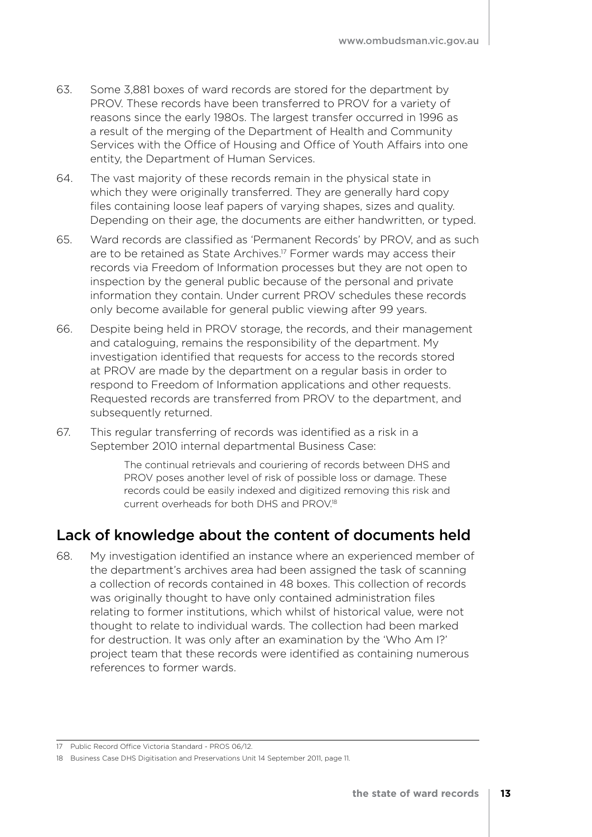- 63. Some 3,881 boxes of ward records are stored for the department by PROV. These records have been transferred to PROV for a variety of reasons since the early 1980s. The largest transfer occurred in 1996 as a result of the merging of the Department of Health and Community Services with the Office of Housing and Office of Youth Affairs into one entity, the Department of Human Services.
- 64. The vast majority of these records remain in the physical state in which they were originally transferred. They are generally hard copy files containing loose leaf papers of varying shapes, sizes and quality. Depending on their age, the documents are either handwritten, or typed.
- 65. Ward records are classified as 'Permanent Records' by PROV, and as such are to be retained as State Archives.17 Former wards may access their records via Freedom of Information processes but they are not open to inspection by the general public because of the personal and private information they contain. Under current PROV schedules these records only become available for general public viewing after 99 years.
- 66. Despite being held in PROV storage, the records, and their management and cataloguing, remains the responsibility of the department. My investigation identified that requests for access to the records stored at PROV are made by the department on a regular basis in order to respond to Freedom of Information applications and other requests. Requested records are transferred from PROV to the department, and subsequently returned.
- 67. This regular transferring of records was identified as a risk in a September 2010 internal departmental Business Case:

The continual retrievals and couriering of records between DHS and PROV poses another level of risk of possible loss or damage. These records could be easily indexed and digitized removing this risk and current overheads for both DHS and PROV.18

### Lack of knowledge about the content of documents held

68. My investigation identified an instance where an experienced member of the department's archives area had been assigned the task of scanning a collection of records contained in 48 boxes. This collection of records was originally thought to have only contained administration files relating to former institutions, which whilst of historical value, were not thought to relate to individual wards. The collection had been marked for destruction. It was only after an examination by the 'Who Am I?' project team that these records were identified as containing numerous references to former wards.

<sup>17</sup> Public Record Office Victoria Standard - PROS 06/12.

<sup>18</sup> Business Case DHS Digitisation and Preservations Unit 14 September 2011, page 11.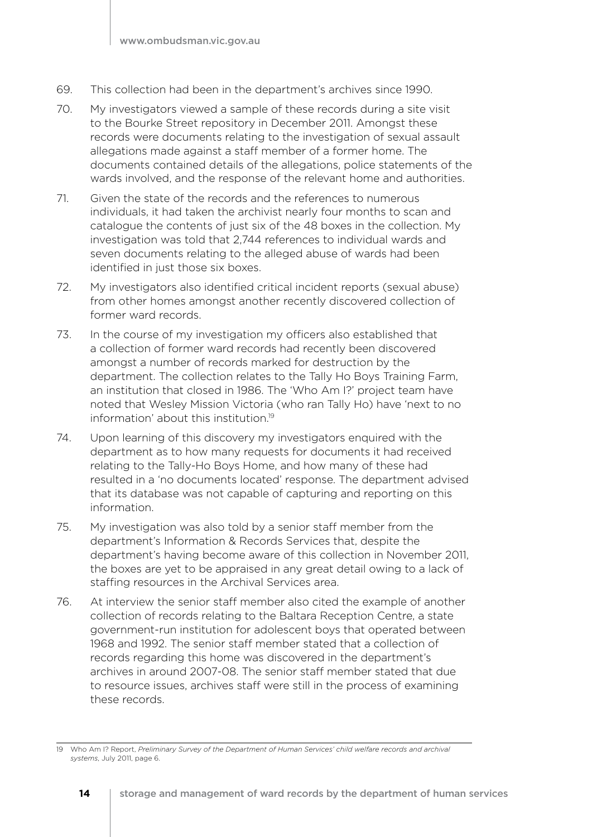- 69. This collection had been in the department's archives since 1990.
- 70. My investigators viewed a sample of these records during a site visit to the Bourke Street repository in December 2011. Amongst these records were documents relating to the investigation of sexual assault allegations made against a staff member of a former home. The documents contained details of the allegations, police statements of the wards involved, and the response of the relevant home and authorities.
- 71. Given the state of the records and the references to numerous individuals, it had taken the archivist nearly four months to scan and catalogue the contents of just six of the 48 boxes in the collection. My investigation was told that 2,744 references to individual wards and seven documents relating to the alleged abuse of wards had been identified in just those six boxes.
- 72. My investigators also identified critical incident reports (sexual abuse) from other homes amongst another recently discovered collection of former ward records.
- 73. In the course of my investigation my officers also established that a collection of former ward records had recently been discovered amongst a number of records marked for destruction by the department. The collection relates to the Tally Ho Boys Training Farm, an institution that closed in 1986. The 'Who Am I?' project team have noted that Wesley Mission Victoria (who ran Tally Ho) have 'next to no information' about this institution.19
- 74. Upon learning of this discovery my investigators enquired with the department as to how many requests for documents it had received relating to the Tally-Ho Boys Home, and how many of these had resulted in a 'no documents located' response. The department advised that its database was not capable of capturing and reporting on this information.
- 75. My investigation was also told by a senior staff member from the department's Information & Records Services that, despite the department's having become aware of this collection in November 2011, the boxes are yet to be appraised in any great detail owing to a lack of staffing resources in the Archival Services area.
- 76. At interview the senior staff member also cited the example of another collection of records relating to the Baltara Reception Centre, a state government-run institution for adolescent boys that operated between 1968 and 1992. The senior staff member stated that a collection of records regarding this home was discovered in the department's archives in around 2007-08. The senior staff member stated that due to resource issues, archives staff were still in the process of examining these records.

<sup>19</sup> Who Am I? Report, *Preliminary Survey of the Department of Human Services' child welfare records and archival systems*, July 2011, page 6.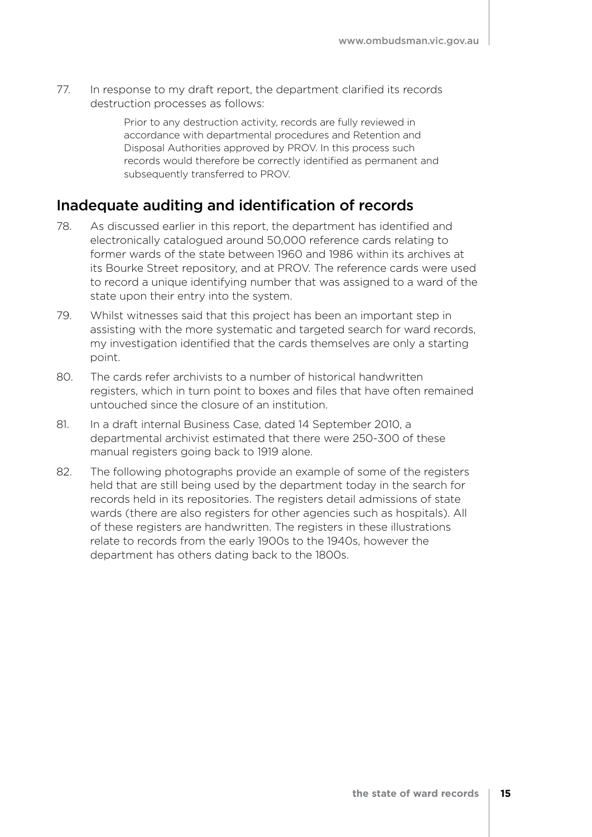77. In response to my draft report, the department clarified its records destruction processes as follows:

> Prior to any destruction activity, records are fully reviewed in accordance with departmental procedures and Retention and Disposal Authorities approved by PROV. In this process such records would therefore be correctly identified as permanent and subsequently transferred to PROV.

### Inadequate auditing and identification of records

- 78. As discussed earlier in this report, the department has identified and electronically catalogued around 50,000 reference cards relating to former wards of the state between 1960 and 1986 within its archives at its Bourke Street repository, and at PROV. The reference cards were used to record a unique identifying number that was assigned to a ward of the state upon their entry into the system.
- 79. Whilst witnesses said that this project has been an important step in assisting with the more systematic and targeted search for ward records, my investigation identified that the cards themselves are only a starting point.
- 80. The cards refer archivists to a number of historical handwritten registers, which in turn point to boxes and files that have often remained untouched since the closure of an institution.
- 81. In a draft internal Business Case, dated 14 September 2010, a departmental archivist estimated that there were 250-300 of these manual registers going back to 1919 alone.
- 82. The following photographs provide an example of some of the registers held that are still being used by the department today in the search for records held in its repositories. The registers detail admissions of state wards (there are also registers for other agencies such as hospitals). All of these registers are handwritten. The registers in these illustrations relate to records from the early 1900s to the 1940s, however the department has others dating back to the 1800s.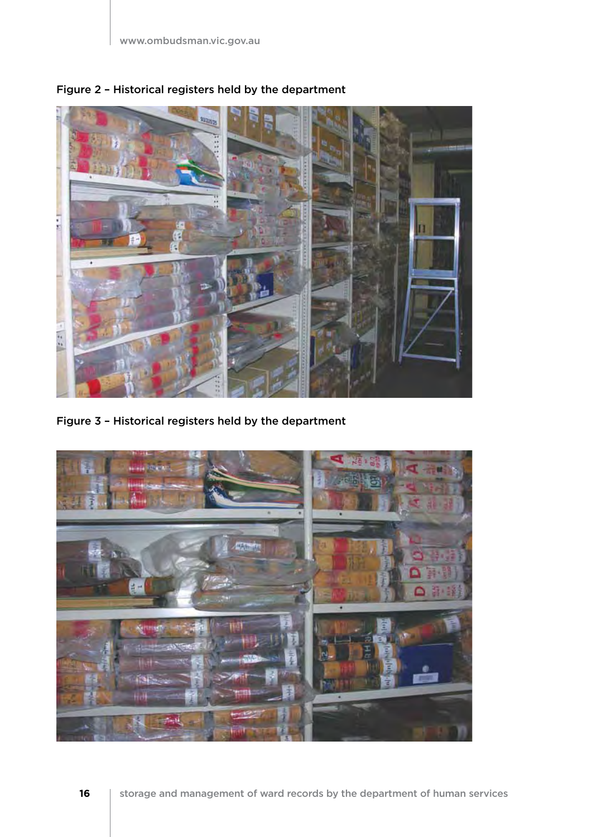

Figure 2 – Historical registers held by the department

Figure 3 – Historical registers held by the department

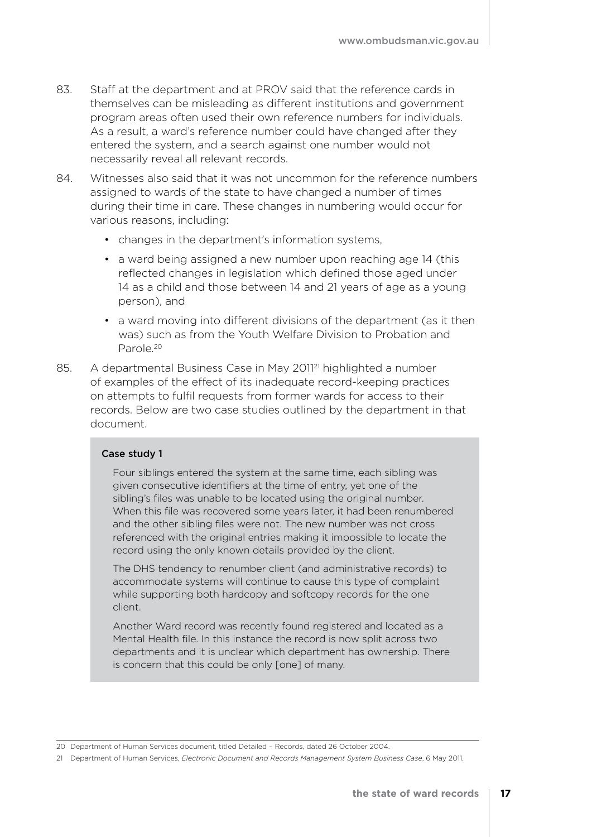- 83. Staff at the department and at PROV said that the reference cards in themselves can be misleading as different institutions and government program areas often used their own reference numbers for individuals. As a result, a ward's reference number could have changed after they entered the system, and a search against one number would not necessarily reveal all relevant records.
- 84. Witnesses also said that it was not uncommon for the reference numbers assigned to wards of the state to have changed a number of times during their time in care. These changes in numbering would occur for various reasons, including:
	- changes in the department's information systems,
	- a ward being assigned a new number upon reaching age 14 (this reflected changes in legislation which defined those aged under 14 as a child and those between 14 and 21 years of age as a young person), and
	- a ward moving into different divisions of the department (as it then was) such as from the Youth Welfare Division to Probation and Parole.20
- 85. A departmental Business Case in May 2011<sup>21</sup> highlighted a number of examples of the effect of its inadequate record-keeping practices on attempts to fulfil requests from former wards for access to their records. Below are two case studies outlined by the department in that document.

#### Case study 1

Four siblings entered the system at the same time, each sibling was given consecutive identifiers at the time of entry, yet one of the sibling's files was unable to be located using the original number. When this file was recovered some years later, it had been renumbered and the other sibling files were not. The new number was not cross referenced with the original entries making it impossible to locate the record using the only known details provided by the client.

The DHS tendency to renumber client (and administrative records) to accommodate systems will continue to cause this type of complaint while supporting both hardcopy and softcopy records for the one client.

Another Ward record was recently found registered and located as a Mental Health file. In this instance the record is now split across two departments and it is unclear which department has ownership. There is concern that this could be only [one] of many.

<sup>20</sup> Department of Human Services document, titled Detailed – Records, dated 26 October 2004.

<sup>21</sup> Department of Human Services, *Electronic Document and Records Management System Business Case*, 6 May 2011.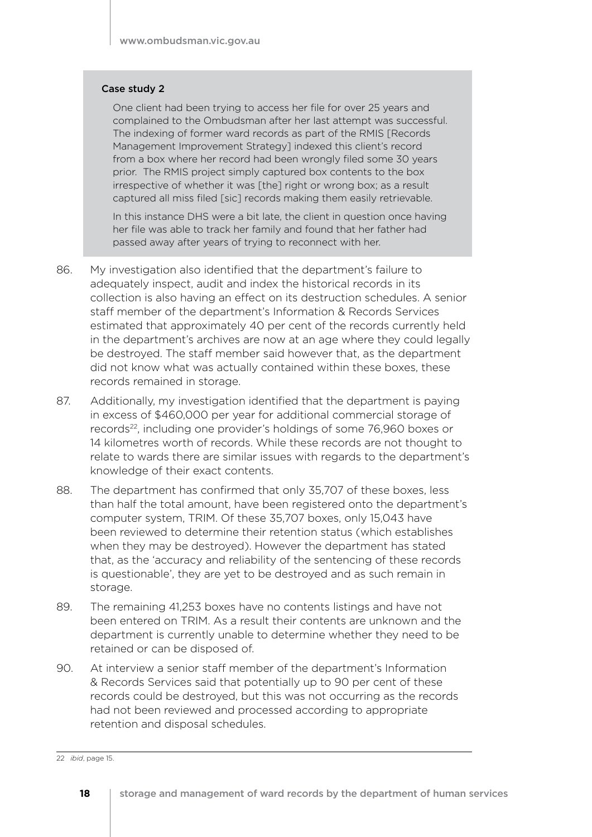#### Case study 2

One client had been trying to access her file for over 25 years and complained to the Ombudsman after her last attempt was successful. The indexing of former ward records as part of the RMIS [Records Management Improvement Strategy] indexed this client's record from a box where her record had been wrongly filed some 30 years prior. The RMIS project simply captured box contents to the box irrespective of whether it was [the] right or wrong box; as a result captured all miss filed [sic] records making them easily retrievable.

In this instance DHS were a bit late, the client in question once having her file was able to track her family and found that her father had passed away after years of trying to reconnect with her.

- 86. My investigation also identified that the department's failure to adequately inspect, audit and index the historical records in its collection is also having an effect on its destruction schedules. A senior staff member of the department's Information & Records Services estimated that approximately 40 per cent of the records currently held in the department's archives are now at an age where they could legally be destroyed. The staff member said however that, as the department did not know what was actually contained within these boxes, these records remained in storage.
- 87. Additionally, my investigation identified that the department is paying in excess of \$460,000 per year for additional commercial storage of records<sup>22</sup>, including one provider's holdings of some 76,960 boxes or 14 kilometres worth of records. While these records are not thought to relate to wards there are similar issues with regards to the department's knowledge of their exact contents.
- 88. The department has confirmed that only 35,707 of these boxes, less than half the total amount, have been registered onto the department's computer system, TRIM. Of these 35,707 boxes, only 15,043 have been reviewed to determine their retention status (which establishes when they may be destroyed). However the department has stated that, as the 'accuracy and reliability of the sentencing of these records is questionable', they are yet to be destroyed and as such remain in storage.
- 89. The remaining 41,253 boxes have no contents listings and have not been entered on TRIM. As a result their contents are unknown and the department is currently unable to determine whether they need to be retained or can be disposed of.
- 90. At interview a senior staff member of the department's Information & Records Services said that potentially up to 90 per cent of these records could be destroyed, but this was not occurring as the records had not been reviewed and processed according to appropriate retention and disposal schedules.

<sup>22</sup> *ibid*, page 15.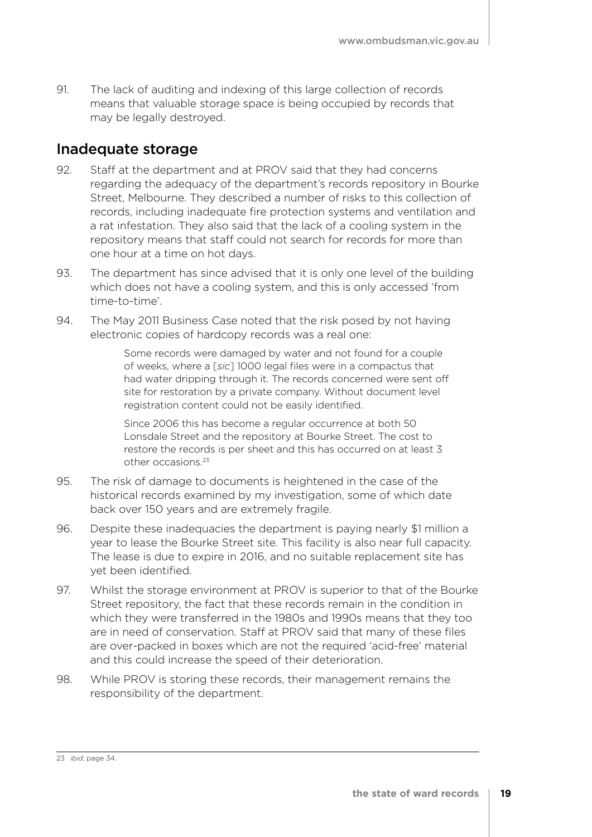91. The lack of auditing and indexing of this large collection of records means that valuable storage space is being occupied by records that may be legally destroyed.

### Inadequate storage

- 92. Staff at the department and at PROV said that they had concerns regarding the adequacy of the department's records repository in Bourke Street, Melbourne. They described a number of risks to this collection of records, including inadequate fire protection systems and ventilation and a rat infestation. They also said that the lack of a cooling system in the repository means that staff could not search for records for more than one hour at a time on hot days.
- 93. The department has since advised that it is only one level of the building which does not have a cooling system, and this is only accessed 'from time-to-time'.
- 94. The May 2011 Business Case noted that the risk posed by not having electronic copies of hardcopy records was a real one:

Some records were damaged by water and not found for a couple of weeks, where a [*sic*] 1000 legal files were in a compactus that had water dripping through it. The records concerned were sent off site for restoration by a private company. Without document level registration content could not be easily identified.

Since 2006 this has become a regular occurrence at both 50 Lonsdale Street and the repository at Bourke Street. The cost to restore the records is per sheet and this has occurred on at least 3 other occasions.23

- 95. The risk of damage to documents is heightened in the case of the historical records examined by my investigation, some of which date back over 150 years and are extremely fragile.
- 96. Despite these inadequacies the department is paying nearly \$1 million a year to lease the Bourke Street site. This facility is also near full capacity. The lease is due to expire in 2016, and no suitable replacement site has yet been identified.
- 97. Whilst the storage environment at PROV is superior to that of the Bourke Street repository, the fact that these records remain in the condition in which they were transferred in the 1980s and 1990s means that they too are in need of conservation. Staff at PROV said that many of these files are over-packed in boxes which are not the required 'acid-free' material and this could increase the speed of their deterioration.
- 98. While PROV is storing these records, their management remains the responsibility of the department.

<sup>23</sup> *ibid*, page 34.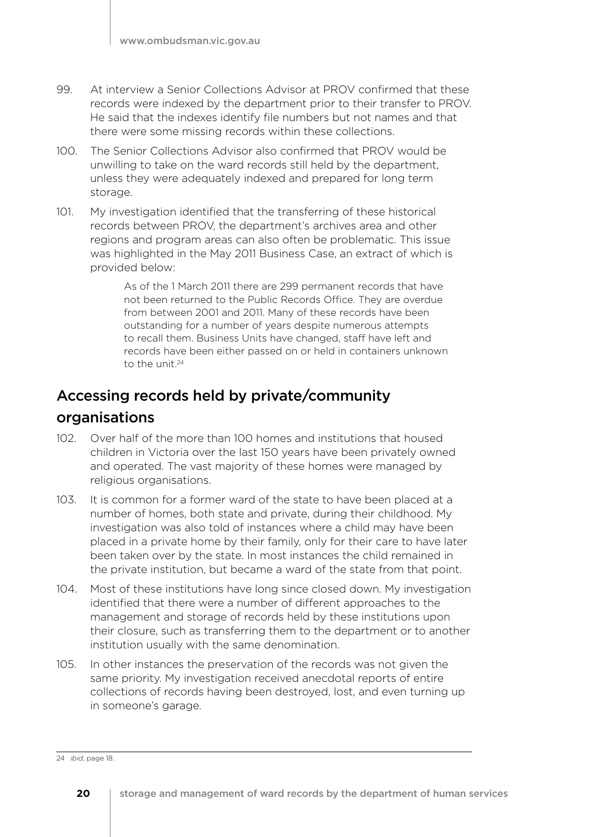- 99. At interview a Senior Collections Advisor at PROV confirmed that these records were indexed by the department prior to their transfer to PROV. He said that the indexes identify file numbers but not names and that there were some missing records within these collections.
- 100. The Senior Collections Advisor also confirmed that PROV would be unwilling to take on the ward records still held by the department, unless they were adequately indexed and prepared for long term storage.
- 101. My investigation identified that the transferring of these historical records between PROV, the department's archives area and other regions and program areas can also often be problematic. This issue was highlighted in the May 2011 Business Case, an extract of which is provided below:

As of the 1 March 2011 there are 299 permanent records that have not been returned to the Public Records Office. They are overdue from between 2001 and 2011. Many of these records have been outstanding for a number of years despite numerous attempts to recall them. Business Units have changed, staff have left and records have been either passed on or held in containers unknown to the unit.24

### Accessing records held by private/community

### organisations

- 102. Over half of the more than 100 homes and institutions that housed children in Victoria over the last 150 years have been privately owned and operated. The vast majority of these homes were managed by religious organisations.
- 103. It is common for a former ward of the state to have been placed at a number of homes, both state and private, during their childhood. My investigation was also told of instances where a child may have been placed in a private home by their family, only for their care to have later been taken over by the state. In most instances the child remained in the private institution, but became a ward of the state from that point.
- 104. Most of these institutions have long since closed down. My investigation identified that there were a number of different approaches to the management and storage of records held by these institutions upon their closure, such as transferring them to the department or to another institution usually with the same denomination.
- 105. In other instances the preservation of the records was not given the same priority. My investigation received anecdotal reports of entire collections of records having been destroyed, lost, and even turning up in someone's garage.

<sup>24</sup> *ibid*, page 18.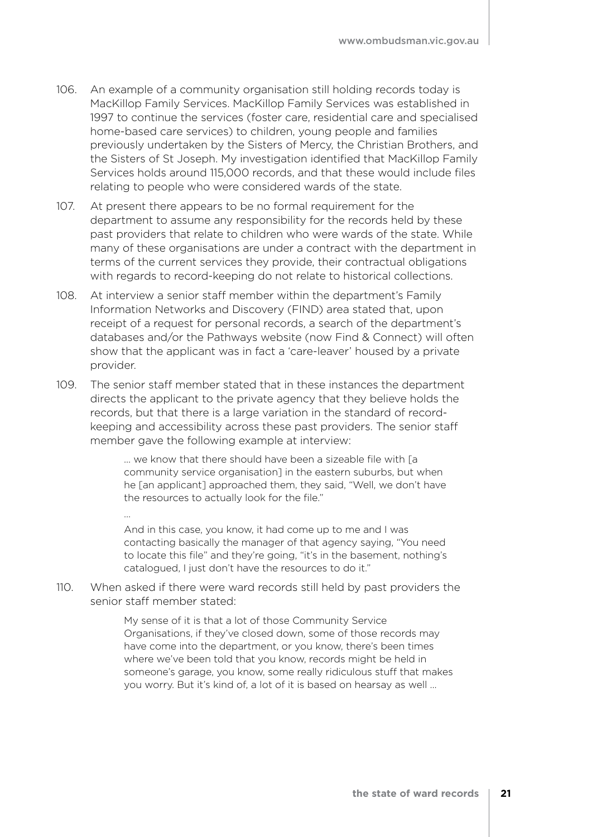- 106. An example of a community organisation still holding records today is MacKillop Family Services. MacKillop Family Services was established in 1997 to continue the services (foster care, residential care and specialised home-based care services) to children, young people and families previously undertaken by the Sisters of Mercy, the Christian Brothers, and the Sisters of St Joseph. My investigation identified that MacKillop Family Services holds around 115,000 records, and that these would include files relating to people who were considered wards of the state.
- 107. At present there appears to be no formal requirement for the department to assume any responsibility for the records held by these past providers that relate to children who were wards of the state. While many of these organisations are under a contract with the department in terms of the current services they provide, their contractual obligations with regards to record-keeping do not relate to historical collections.
- 108. At interview a senior staff member within the department's Family Information Networks and Discovery (FIND) area stated that, upon receipt of a request for personal records, a search of the department's databases and/or the Pathways website (now Find & Connect) will often show that the applicant was in fact a 'care-leaver' housed by a private provider.
- 109. The senior staff member stated that in these instances the department directs the applicant to the private agency that they believe holds the records, but that there is a large variation in the standard of recordkeeping and accessibility across these past providers. The senior staff member gave the following example at interview:

... we know that there should have been a sizeable file with [a community service organisation] in the eastern suburbs, but when he [an applicant] approached them, they said, "Well, we don't have the resources to actually look for the file."

And in this case, you know, it had come up to me and I was contacting basically the manager of that agency saying, "You need to locate this file" and they're going, "it's in the basement, nothing's catalogued, I just don't have the resources to do it."

110. When asked if there were ward records still held by past providers the senior staff member stated:

…

My sense of it is that a lot of those Community Service Organisations, if they've closed down, some of those records may have come into the department, or you know, there's been times where we've been told that you know, records might be held in someone's garage, you know, some really ridiculous stuff that makes you worry. But it's kind of, a lot of it is based on hearsay as well …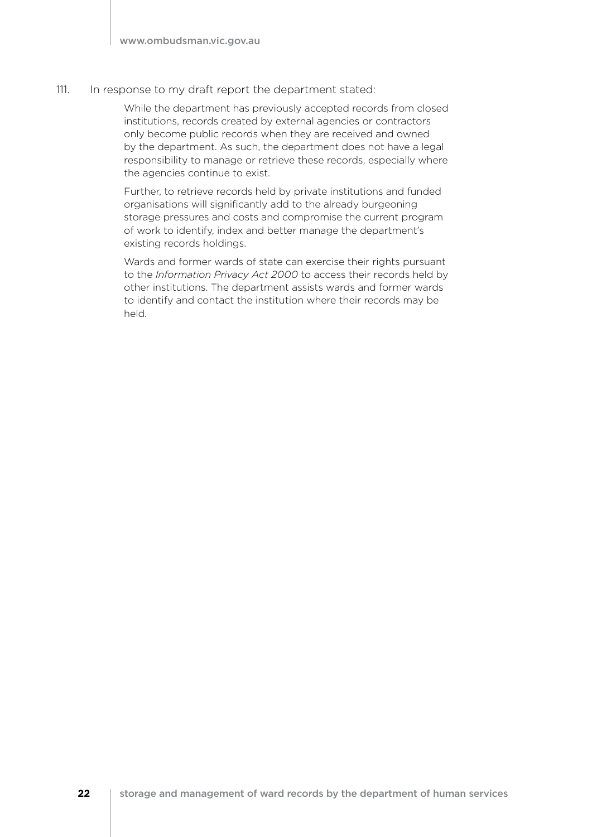#### 111. In response to my draft report the department stated:

While the department has previously accepted records from closed institutions, records created by external agencies or contractors only become public records when they are received and owned by the department. As such, the department does not have a legal responsibility to manage or retrieve these records, especially where the agencies continue to exist.

Further, to retrieve records held by private institutions and funded organisations will significantly add to the already burgeoning storage pressures and costs and compromise the current program of work to identify, index and better manage the department's existing records holdings.

Wards and former wards of state can exercise their rights pursuant to the *Information Privacy Act 2000* to access their records held by other institutions. The department assists wards and former wards to identify and contact the institution where their records may be held.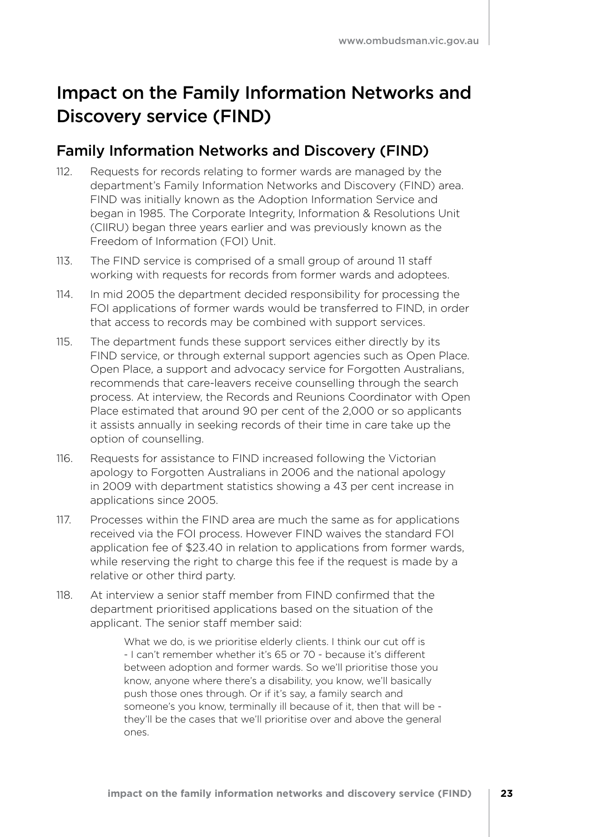### Impact on the Family Information Networks and Discovery service (FIND)

### Family Information Networks and Discovery (FIND)

- 112. Requests for records relating to former wards are managed by the department's Family Information Networks and Discovery (FIND) area. FIND was initially known as the Adoption Information Service and began in 1985. The Corporate Integrity, Information & Resolutions Unit (CIIRU) began three years earlier and was previously known as the Freedom of Information (FOI) Unit.
- 113. The FIND service is comprised of a small group of around 11 staff working with requests for records from former wards and adoptees.
- 114. In mid 2005 the department decided responsibility for processing the FOI applications of former wards would be transferred to FIND, in order that access to records may be combined with support services.
- 115. The department funds these support services either directly by its FIND service, or through external support agencies such as Open Place. Open Place, a support and advocacy service for Forgotten Australians, recommends that care-leavers receive counselling through the search process. At interview, the Records and Reunions Coordinator with Open Place estimated that around 90 per cent of the 2,000 or so applicants it assists annually in seeking records of their time in care take up the option of counselling.
- 116. Requests for assistance to FIND increased following the Victorian apology to Forgotten Australians in 2006 and the national apology in 2009 with department statistics showing a 43 per cent increase in applications since 2005.
- 117. Processes within the FIND area are much the same as for applications received via the FOI process. However FIND waives the standard FOI application fee of \$23.40 in relation to applications from former wards, while reserving the right to charge this fee if the request is made by a relative or other third party.
- 118. At interview a senior staff member from FIND confirmed that the department prioritised applications based on the situation of the applicant. The senior staff member said:

What we do, is we prioritise elderly clients. I think our cut off is - I can't remember whether it's 65 or 70 - because it's different between adoption and former wards. So we'll prioritise those you know, anyone where there's a disability, you know, we'll basically push those ones through. Or if it's say, a family search and someone's you know, terminally ill because of it, then that will be they'll be the cases that we'll prioritise over and above the general ones.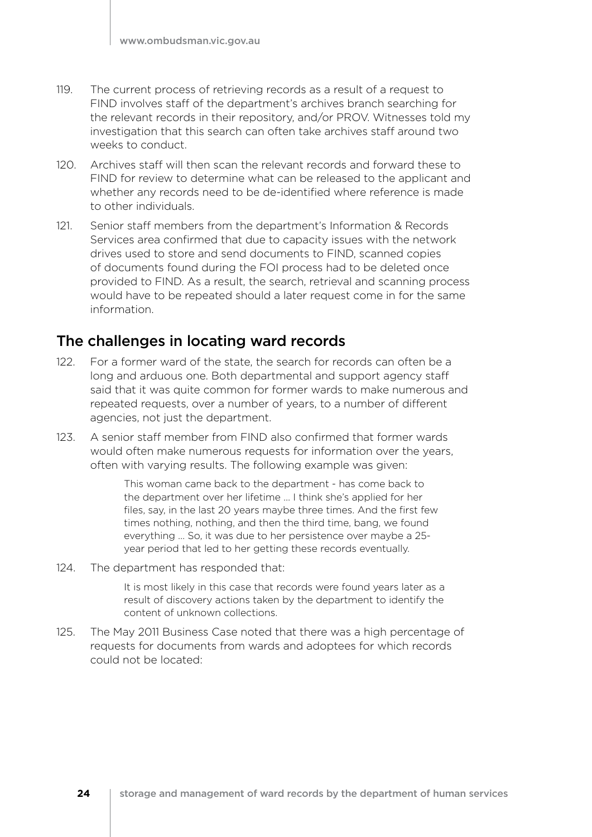- 119. The current process of retrieving records as a result of a request to FIND involves staff of the department's archives branch searching for the relevant records in their repository, and/or PROV. Witnesses told my investigation that this search can often take archives staff around two weeks to conduct.
- 120. Archives staff will then scan the relevant records and forward these to FIND for review to determine what can be released to the applicant and whether any records need to be de-identified where reference is made to other individuals.
- 121. Senior staff members from the department's Information & Records Services area confirmed that due to capacity issues with the network drives used to store and send documents to FIND, scanned copies of documents found during the FOI process had to be deleted once provided to FIND. As a result, the search, retrieval and scanning process would have to be repeated should a later request come in for the same information.

### The challenges in locating ward records

- 122. For a former ward of the state, the search for records can often be a long and arduous one. Both departmental and support agency staff said that it was quite common for former wards to make numerous and repeated requests, over a number of years, to a number of different agencies, not just the department.
- 123. A senior staff member from FIND also confirmed that former wards would often make numerous requests for information over the years, often with varying results. The following example was given:

This woman came back to the department - has come back to the department over her lifetime … I think she's applied for her files, say, in the last 20 years maybe three times. And the first few times nothing, nothing, and then the third time, bang, we found everything … So, it was due to her persistence over maybe a 25 year period that led to her getting these records eventually.

124. The department has responded that:

It is most likely in this case that records were found years later as a result of discovery actions taken by the department to identify the content of unknown collections.

125. The May 2011 Business Case noted that there was a high percentage of requests for documents from wards and adoptees for which records could not be located: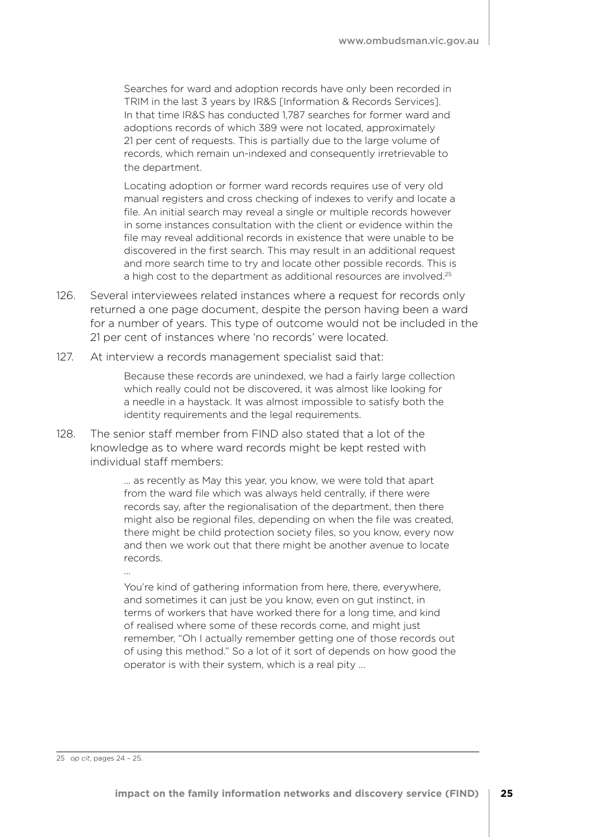Searches for ward and adoption records have only been recorded in TRIM in the last 3 years by IR&S [Information & Records Services]. In that time IR&S has conducted 1,787 searches for former ward and adoptions records of which 389 were not located, approximately 21 per cent of requests. This is partially due to the large volume of records, which remain un-indexed and consequently irretrievable to the department.

Locating adoption or former ward records requires use of very old manual registers and cross checking of indexes to verify and locate a file. An initial search may reveal a single or multiple records however in some instances consultation with the client or evidence within the file may reveal additional records in existence that were unable to be discovered in the first search. This may result in an additional request and more search time to try and locate other possible records. This is a high cost to the department as additional resources are involved.<sup>25</sup>

- 126. Several interviewees related instances where a request for records only returned a one page document, despite the person having been a ward for a number of years. This type of outcome would not be included in the 21 per cent of instances where 'no records' were located.
- 127. At interview a records management specialist said that:

Because these records are unindexed, we had a fairly large collection which really could not be discovered, it was almost like looking for a needle in a haystack. It was almost impossible to satisfy both the identity requirements and the legal requirements.

128. The senior staff member from FIND also stated that a lot of the knowledge as to where ward records might be kept rested with individual staff members:

> … as recently as May this year, you know, we were told that apart from the ward file which was always held centrally, if there were records say, after the regionalisation of the department, then there might also be regional files, depending on when the file was created, there might be child protection society files, so you know, every now and then we work out that there might be another avenue to locate records.

> You're kind of gathering information from here, there, everywhere, and sometimes it can just be you know, even on gut instinct, in terms of workers that have worked there for a long time, and kind of realised where some of these records come, and might just remember, "Oh I actually remember getting one of those records out of using this method." So a lot of it sort of depends on how good the operator is with their system, which is a real pity …

25 *op cit*, pages 24 – 25.

…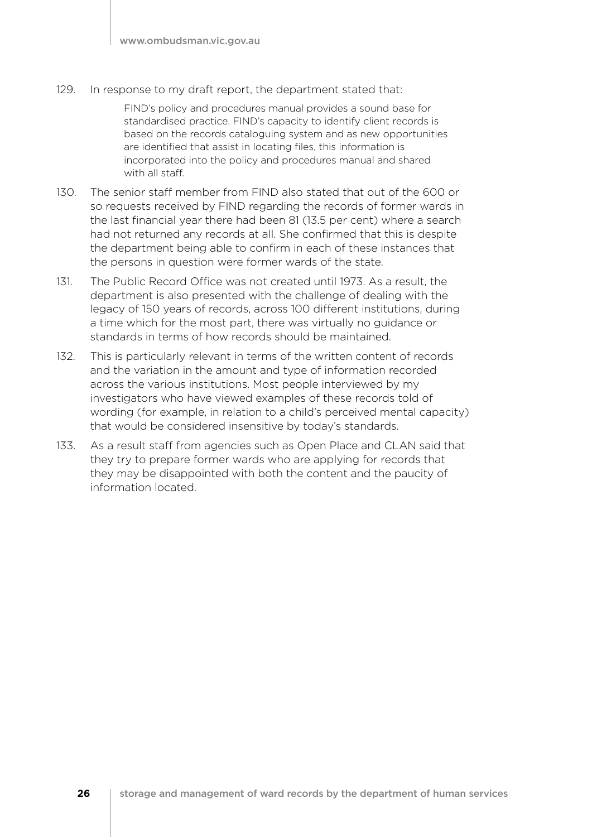129. In response to my draft report, the department stated that:

FIND's policy and procedures manual provides a sound base for standardised practice. FIND's capacity to identify client records is based on the records cataloguing system and as new opportunities are identified that assist in locating files, this information is incorporated into the policy and procedures manual and shared with all staff.

- 130. The senior staff member from FIND also stated that out of the 600 or so requests received by FIND regarding the records of former wards in the last financial year there had been 81 (13.5 per cent) where a search had not returned any records at all. She confirmed that this is despite the department being able to confirm in each of these instances that the persons in question were former wards of the state.
- 131. The Public Record Office was not created until 1973. As a result, the department is also presented with the challenge of dealing with the legacy of 150 years of records, across 100 different institutions, during a time which for the most part, there was virtually no guidance or standards in terms of how records should be maintained.
- 132. This is particularly relevant in terms of the written content of records and the variation in the amount and type of information recorded across the various institutions. Most people interviewed by my investigators who have viewed examples of these records told of wording (for example, in relation to a child's perceived mental capacity) that would be considered insensitive by today's standards.
- 133. As a result staff from agencies such as Open Place and CLAN said that they try to prepare former wards who are applying for records that they may be disappointed with both the content and the paucity of information located.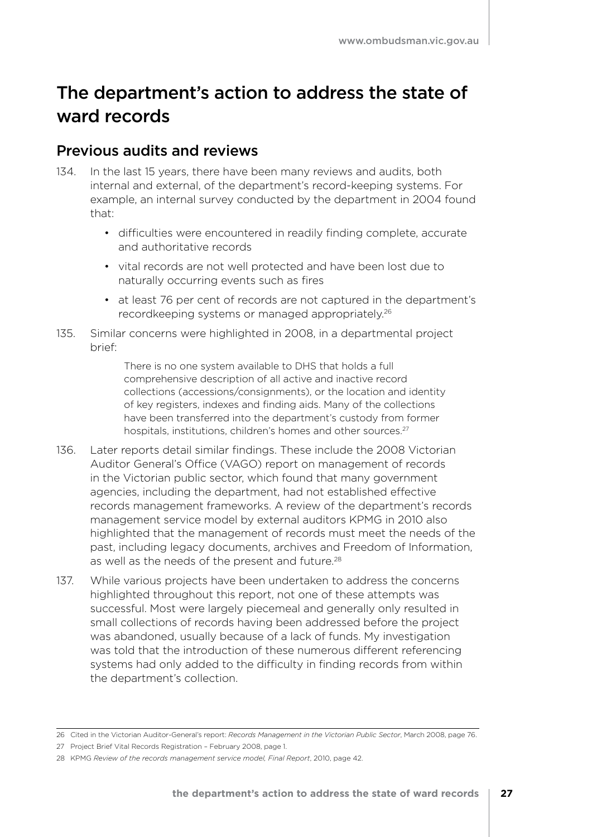### The department's action to address the state of ward records

### Previous audits and reviews

- 134. In the last 15 years, there have been many reviews and audits, both internal and external, of the department's record-keeping systems. For example, an internal survey conducted by the department in 2004 found that:
	- difficulties were encountered in readily finding complete, accurate and authoritative records
	- vital records are not well protected and have been lost due to naturally occurring events such as fires
	- at least 76 per cent of records are not captured in the department's recordkeeping systems or managed appropriately.<sup>26</sup>
- 135. Similar concerns were highlighted in 2008, in a departmental project brief:

There is no one system available to DHS that holds a full comprehensive description of all active and inactive record collections (accessions/consignments), or the location and identity of key registers, indexes and finding aids. Many of the collections have been transferred into the department's custody from former hospitals, institutions, children's homes and other sources.<sup>27</sup>

- 136. Later reports detail similar findings. These include the 2008 Victorian Auditor General's Office (VAGO) report on management of records in the Victorian public sector, which found that many government agencies, including the department, had not established effective records management frameworks. A review of the department's records management service model by external auditors KPMG in 2010 also highlighted that the management of records must meet the needs of the past, including legacy documents, archives and Freedom of Information, as well as the needs of the present and future.<sup>28</sup>
- 137. While various projects have been undertaken to address the concerns highlighted throughout this report, not one of these attempts was successful. Most were largely piecemeal and generally only resulted in small collections of records having been addressed before the project was abandoned, usually because of a lack of funds. My investigation was told that the introduction of these numerous different referencing systems had only added to the difficulty in finding records from within the department's collection.

<sup>26</sup> Cited in the Victorian Auditor-General's report: *Records Management in the Victorian Public Sector*, March 2008, page 76.

<sup>27</sup> Project Brief Vital Records Registration – February 2008, page 1.

<sup>28</sup> KPMG *Review of the records management service model, Final Report*, 2010, page 42.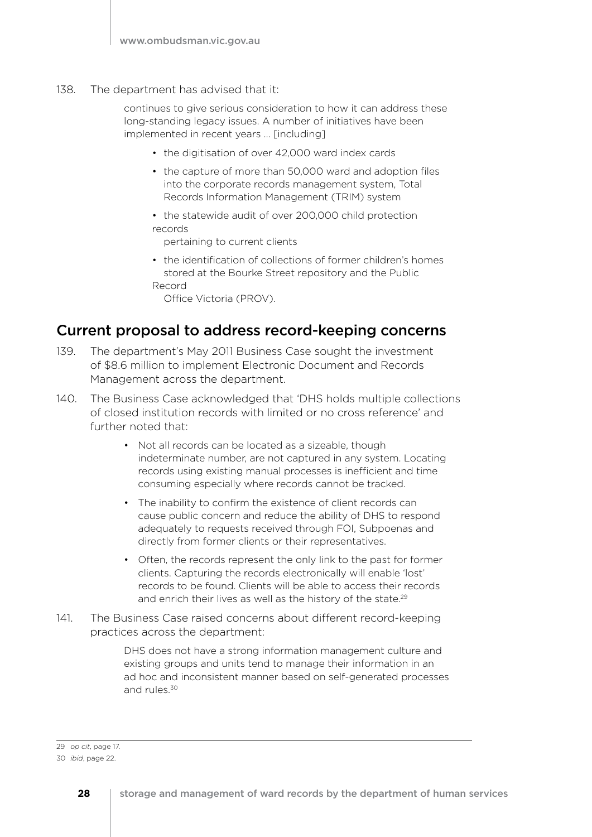138. The department has advised that it:

continues to give serious consideration to how it can address these long-standing legacy issues. A number of initiatives have been implemented in recent years … [including]

- the digitisation of over 42,000 ward index cards
- the capture of more than 50,000 ward and adoption files into the corporate records management system, Total Records Information Management (TRIM) system
- the statewide audit of over 200,000 child protection records

pertaining to current clients

• the identification of collections of former children's homes stored at the Bourke Street repository and the Public Record

Office Victoria (PROV).

### Current proposal to address record-keeping concerns

- 139. The department's May 2011 Business Case sought the investment of \$8.6 million to implement Electronic Document and Records Management across the department.
- 140. The Business Case acknowledged that 'DHS holds multiple collections of closed institution records with limited or no cross reference' and further noted that:
	- Not all records can be located as a sizeable, though indeterminate number, are not captured in any system. Locating records using existing manual processes is inefficient and time consuming especially where records cannot be tracked.
	- The inability to confirm the existence of client records can cause public concern and reduce the ability of DHS to respond adequately to requests received through FOI, Subpoenas and directly from former clients or their representatives.
	- Often, the records represent the only link to the past for former clients. Capturing the records electronically will enable 'lost' records to be found. Clients will be able to access their records and enrich their lives as well as the history of the state.<sup>29</sup>
- 141. The Business Case raised concerns about different record-keeping practices across the department:

DHS does not have a strong information management culture and existing groups and units tend to manage their information in an ad hoc and inconsistent manner based on self-generated processes and rules.<sup>30</sup>

<sup>29</sup> *op cit*, page 17.

<sup>30</sup> *ibid*, page 22.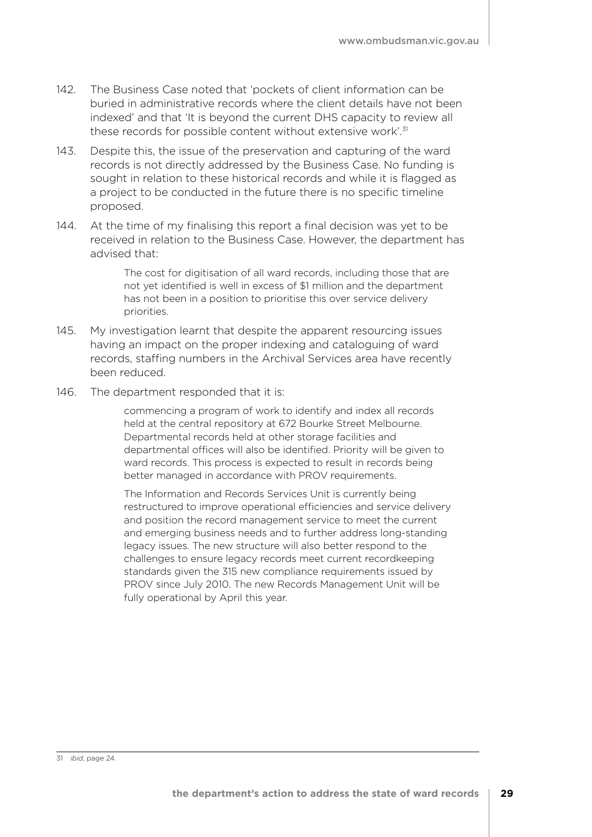- 142. The Business Case noted that 'pockets of client information can be buried in administrative records where the client details have not been indexed' and that 'It is beyond the current DHS capacity to review all these records for possible content without extensive work<sup>'.31</sup>
- 143. Despite this, the issue of the preservation and capturing of the ward records is not directly addressed by the Business Case. No funding is sought in relation to these historical records and while it is flagged as a project to be conducted in the future there is no specific timeline proposed.
- 144. At the time of my finalising this report a final decision was yet to be received in relation to the Business Case. However, the department has advised that:

The cost for digitisation of all ward records, including those that are not yet identified is well in excess of \$1 million and the department has not been in a position to prioritise this over service delivery priorities.

- 145. My investigation learnt that despite the apparent resourcing issues having an impact on the proper indexing and cataloguing of ward records, staffing numbers in the Archival Services area have recently been reduced.
- 146. The department responded that it is:

commencing a program of work to identify and index all records held at the central repository at 672 Bourke Street Melbourne. Departmental records held at other storage facilities and departmental offices will also be identified. Priority will be given to ward records. This process is expected to result in records being better managed in accordance with PROV requirements.

The Information and Records Services Unit is currently being restructured to improve operational efficiencies and service delivery and position the record management service to meet the current and emerging business needs and to further address long-standing legacy issues. The new structure will also better respond to the challenges to ensure legacy records meet current recordkeeping standards given the 315 new compliance requirements issued by PROV since July 2010. The new Records Management Unit will be fully operational by April this year.

<sup>31</sup> *ibid*, page 24.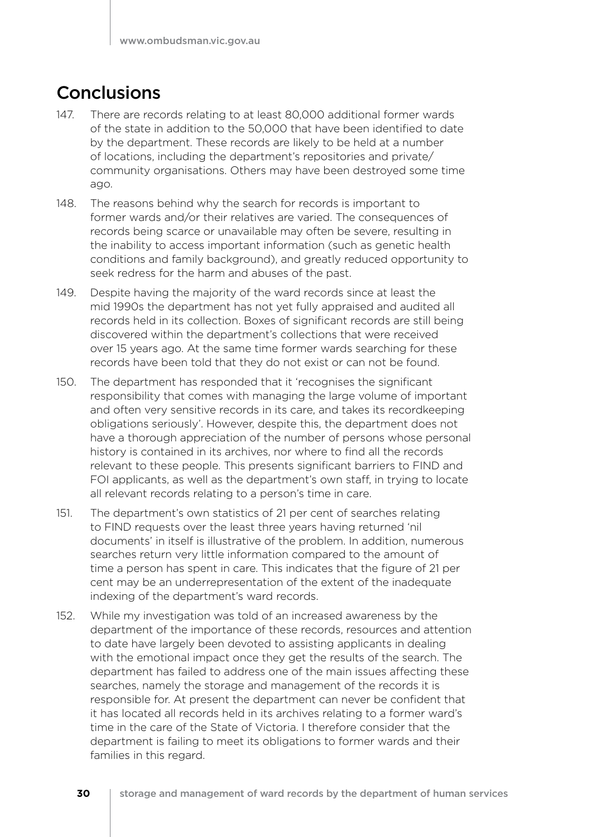### **Conclusions**

- 147. There are records relating to at least 80,000 additional former wards of the state in addition to the 50,000 that have been identified to date by the department. These records are likely to be held at a number of locations, including the department's repositories and private/ community organisations. Others may have been destroyed some time ago.
- 148. The reasons behind why the search for records is important to former wards and/or their relatives are varied. The consequences of records being scarce or unavailable may often be severe, resulting in the inability to access important information (such as genetic health conditions and family background), and greatly reduced opportunity to seek redress for the harm and abuses of the past.
- 149. Despite having the majority of the ward records since at least the mid 1990s the department has not yet fully appraised and audited all records held in its collection. Boxes of significant records are still being discovered within the department's collections that were received over 15 years ago. At the same time former wards searching for these records have been told that they do not exist or can not be found.
- 150. The department has responded that it 'recognises the significant responsibility that comes with managing the large volume of important and often very sensitive records in its care, and takes its recordkeeping obligations seriously'. However, despite this, the department does not have a thorough appreciation of the number of persons whose personal history is contained in its archives, nor where to find all the records relevant to these people. This presents significant barriers to FIND and FOI applicants, as well as the department's own staff, in trying to locate all relevant records relating to a person's time in care.
- 151. The department's own statistics of 21 per cent of searches relating to FIND requests over the least three years having returned 'nil documents' in itself is illustrative of the problem. In addition, numerous searches return very little information compared to the amount of time a person has spent in care. This indicates that the figure of 21 per cent may be an underrepresentation of the extent of the inadequate indexing of the department's ward records.
- 152. While my investigation was told of an increased awareness by the department of the importance of these records, resources and attention to date have largely been devoted to assisting applicants in dealing with the emotional impact once they get the results of the search. The department has failed to address one of the main issues affecting these searches, namely the storage and management of the records it is responsible for. At present the department can never be confident that it has located all records held in its archives relating to a former ward's time in the care of the State of Victoria. I therefore consider that the department is failing to meet its obligations to former wards and their families in this regard.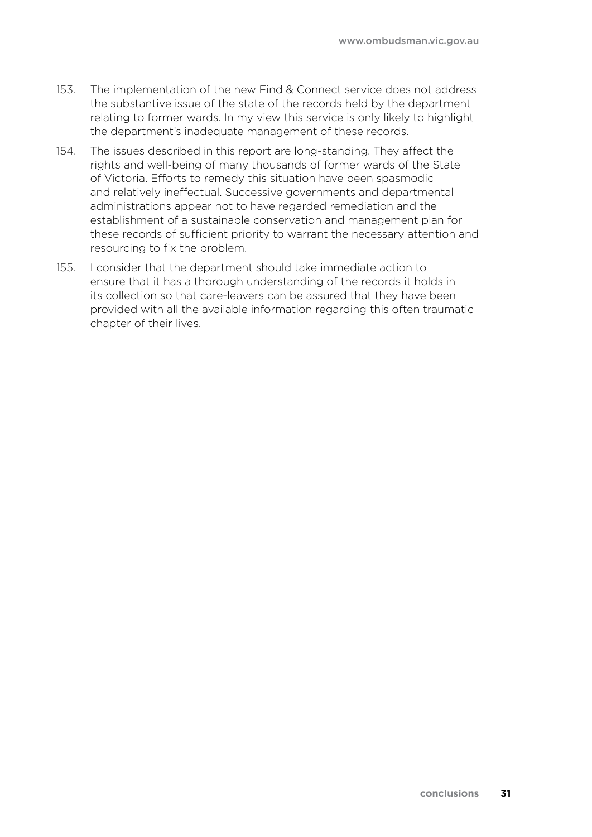- 153. The implementation of the new Find & Connect service does not address the substantive issue of the state of the records held by the department relating to former wards. In my view this service is only likely to highlight the department's inadequate management of these records.
- 154. The issues described in this report are long-standing. They affect the rights and well-being of many thousands of former wards of the State of Victoria. Efforts to remedy this situation have been spasmodic and relatively ineffectual. Successive governments and departmental administrations appear not to have regarded remediation and the establishment of a sustainable conservation and management plan for these records of sufficient priority to warrant the necessary attention and resourcing to fix the problem.
- 155. I consider that the department should take immediate action to ensure that it has a thorough understanding of the records it holds in its collection so that care-leavers can be assured that they have been provided with all the available information regarding this often traumatic chapter of their lives.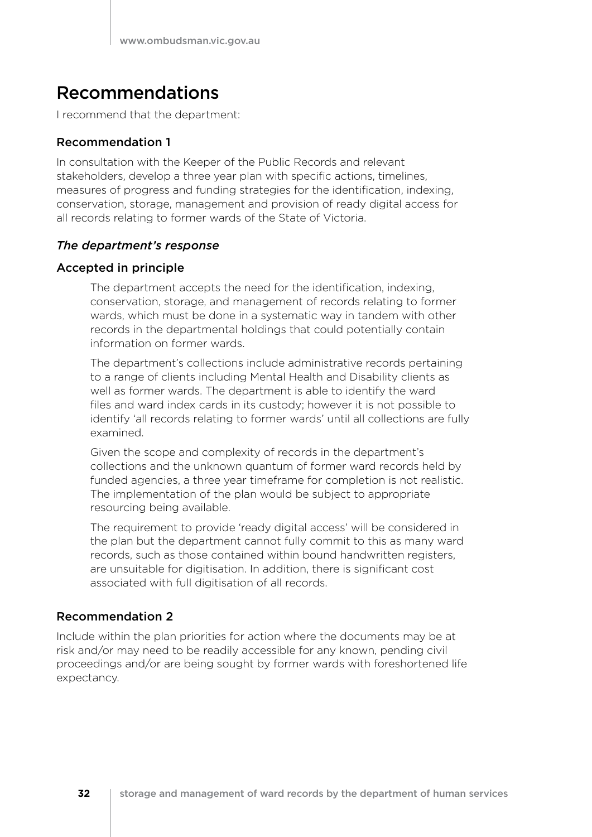### Recommendations

I recommend that the department:

### Recommendation 1

In consultation with the Keeper of the Public Records and relevant stakeholders, develop a three year plan with specific actions, timelines, measures of progress and funding strategies for the identification, indexing, conservation, storage, management and provision of ready digital access for all records relating to former wards of the State of Victoria.

### *The department's response*

### Accepted in principle

The department accepts the need for the identification, indexing, conservation, storage, and management of records relating to former wards, which must be done in a systematic way in tandem with other records in the departmental holdings that could potentially contain information on former wards.

The department's collections include administrative records pertaining to a range of clients including Mental Health and Disability clients as well as former wards. The department is able to identify the ward files and ward index cards in its custody; however it is not possible to identify 'all records relating to former wards' until all collections are fully examined.

Given the scope and complexity of records in the department's collections and the unknown quantum of former ward records held by funded agencies, a three year timeframe for completion is not realistic. The implementation of the plan would be subject to appropriate resourcing being available.

The requirement to provide 'ready digital access' will be considered in the plan but the department cannot fully commit to this as many ward records, such as those contained within bound handwritten registers, are unsuitable for digitisation. In addition, there is significant cost associated with full digitisation of all records.

### Recommendation 2

Include within the plan priorities for action where the documents may be at risk and/or may need to be readily accessible for any known, pending civil proceedings and/or are being sought by former wards with foreshortened life expectancy.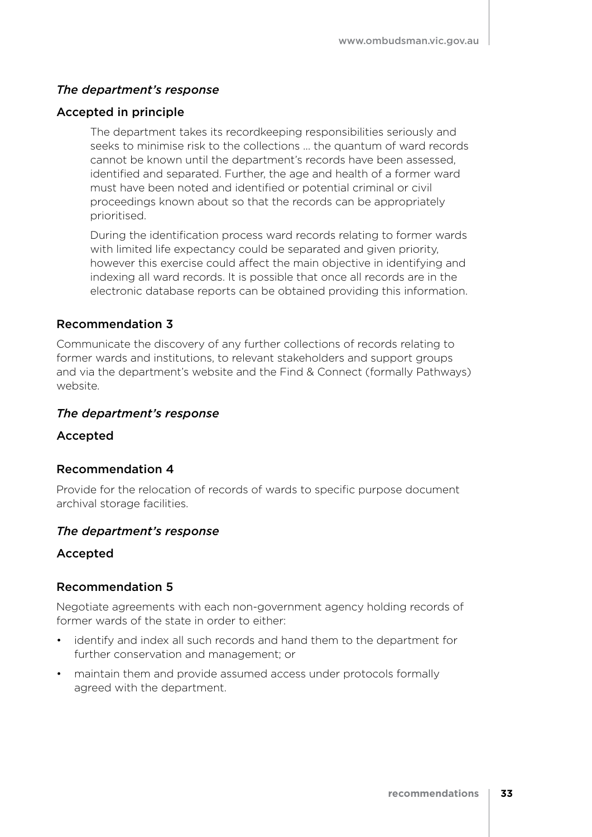### *The department's response*

### Accepted in principle

The department takes its recordkeeping responsibilities seriously and seeks to minimise risk to the collections … the quantum of ward records cannot be known until the department's records have been assessed, identified and separated. Further, the age and health of a former ward must have been noted and identified or potential criminal or civil proceedings known about so that the records can be appropriately prioritised.

During the identification process ward records relating to former wards with limited life expectancy could be separated and given priority, however this exercise could affect the main objective in identifying and indexing all ward records. It is possible that once all records are in the electronic database reports can be obtained providing this information.

### Recommendation 3

Communicate the discovery of any further collections of records relating to former wards and institutions, to relevant stakeholders and support groups and via the department's website and the Find & Connect (formally Pathways) website.

#### *The department's response*

#### Accepted

### Recommendation 4

Provide for the relocation of records of wards to specific purpose document archival storage facilities.

#### *The department's response*

### Accepted

### Recommendation 5

Negotiate agreements with each non-government agency holding records of former wards of the state in order to either:

- • identify and index all such records and hand them to the department for further conservation and management; or
- maintain them and provide assumed access under protocols formally agreed with the department.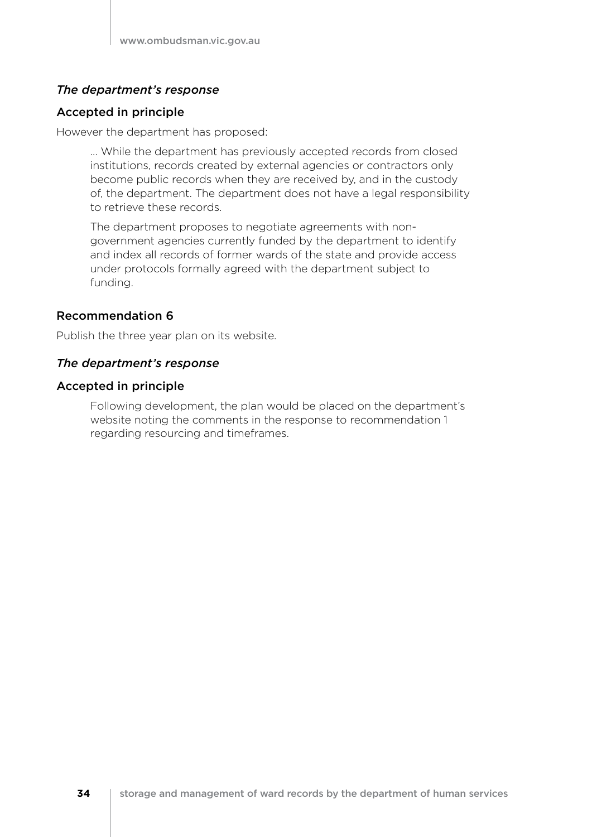### *The department's response*

### Accepted in principle

However the department has proposed:

… While the department has previously accepted records from closed institutions, records created by external agencies or contractors only become public records when they are received by, and in the custody of, the department. The department does not have a legal responsibility to retrieve these records.

The department proposes to negotiate agreements with nongovernment agencies currently funded by the department to identify and index all records of former wards of the state and provide access under protocols formally agreed with the department subject to funding.

### Recommendation 6

Publish the three year plan on its website.

### *The department's response*

### Accepted in principle

Following development, the plan would be placed on the department's website noting the comments in the response to recommendation 1 regarding resourcing and timeframes.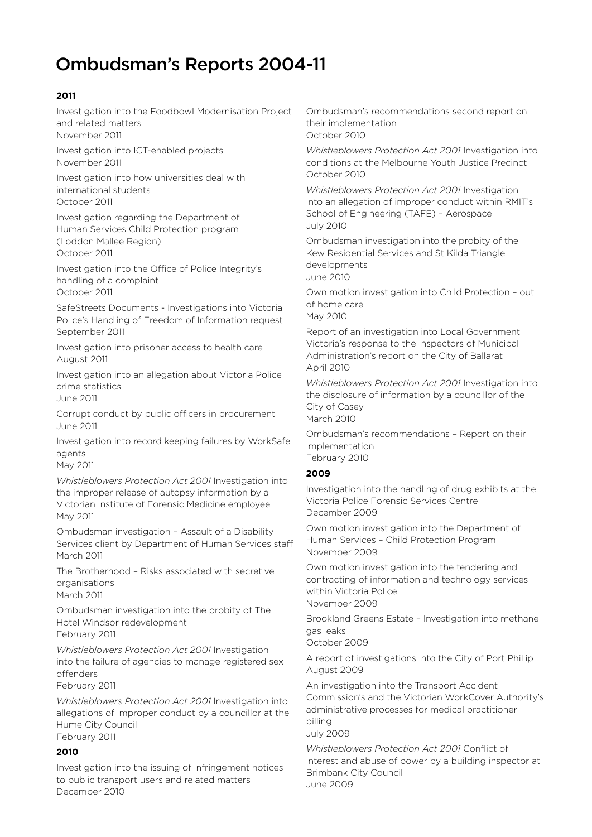## Ombudsman's Reports 2004-11

### **2011**

Investigation into the Foodbowl Modernisation Project and related matters November 2011

Investigation into ICT-enabled projects November 2011

Investigation into how universities deal with international students October 2011

Investigation regarding the Department of Human Services Child Protection program (Loddon Mallee Region) October 2011

Investigation into the Office of Police Integrity's handling of a complaint October 2011

SafeStreets Documents - Investigations into Victoria Police's Handling of Freedom of Information request September 2011

Investigation into prisoner access to health care August 2011

Investigation into an allegation about Victoria Police crime statistics June 2011

Corrupt conduct by public officers in procurement June 2011

Investigation into record keeping failures by WorkSafe agents

May 2011

*Whistleblowers Protection Act 2001* Investigation into the improper release of autopsy information by a Victorian Institute of Forensic Medicine employee May 2011

Ombudsman investigation – Assault of a Disability Services client by Department of Human Services staff March 2011

The Brotherhood – Risks associated with secretive organisations March 2011

Ombudsman investigation into the probity of The Hotel Windsor redevelopment February 2011

*Whistleblowers Protection Act 2001* Investigation into the failure of agencies to manage registered sex offenders

February 2011

*Whistleblowers Protection Act 2001* Investigation into allegations of improper conduct by a councillor at the Hume City Council February 2011

#### **2010**

Investigation into the issuing of infringement notices to public transport users and related matters December 2010

Ombudsman's recommendations second report on their implementation October 2010

*Whistleblowers Protection Act 2001* Investigation into conditions at the Melbourne Youth Justice Precinct October 2010

*Whistleblowers Protection Act 2001* Investigation into an allegation of improper conduct within RMIT's School of Engineering (TAFE) – Aerospace July 2010

Ombudsman investigation into the probity of the Kew Residential Services and St Kilda Triangle developments June 2010

Own motion investigation into Child Protection – out of home care

May 2010

Report of an investigation into Local Government Victoria's response to the Inspectors of Municipal Administration's report on the City of Ballarat April 2010

*Whistleblowers Protection Act 2001* Investigation into the disclosure of information by a councillor of the City of Casey March 2010

Ombudsman's recommendations – Report on their implementation February 2010

#### **2009**

Investigation into the handling of drug exhibits at the Victoria Police Forensic Services Centre December 2009

Own motion investigation into the Department of Human Services – Child Protection Program November 2009

Own motion investigation into the tendering and contracting of information and technology services within Victoria Police November 2009

Brookland Greens Estate – Investigation into methane gas leaks

October 2009

A report of investigations into the City of Port Phillip August 2009

An investigation into the Transport Accident Commission's and the Victorian WorkCover Authority's administrative processes for medical practitioner billing

July 2009

*Whistleblowers Protection Act 2001* Conflict of interest and abuse of power by a building inspector at Brimbank City Council June 2009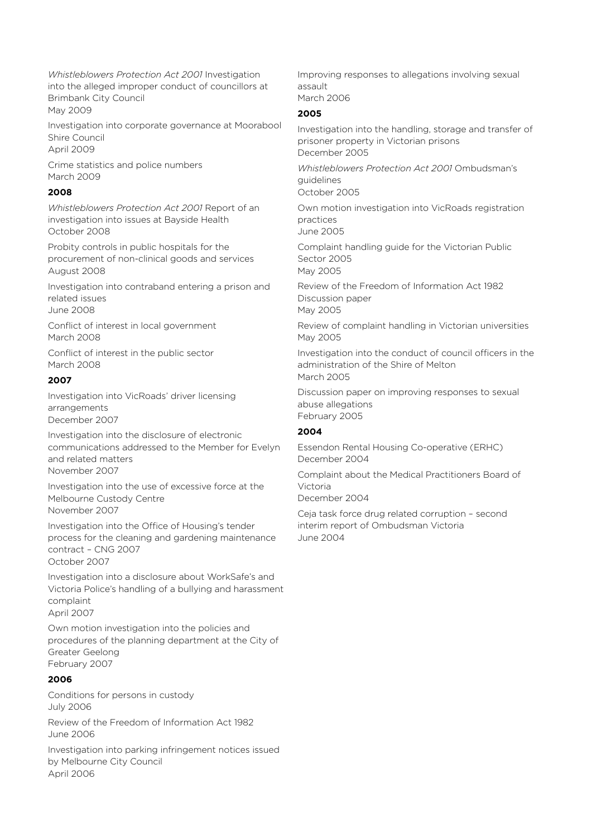*Whistleblowers Protection Act 2001* Investigation into the alleged improper conduct of councillors at Brimbank City Council May 2009

Investigation into corporate governance at Moorabool Shire Council April 2009

Crime statistics and police numbers March 2009

#### **2008**

*Whistleblowers Protection Act 2001* Report of an investigation into issues at Bayside Health October 2008

Probity controls in public hospitals for the procurement of non-clinical goods and services August 2008

Investigation into contraband entering a prison and related issues June 2008

Conflict of interest in local government March 2008

Conflict of interest in the public sector March 2008

#### **2007**

Investigation into VicRoads' driver licensing arrangements December 2007

Investigation into the disclosure of electronic communications addressed to the Member for Evelyn and related matters November 2007

Investigation into the use of excessive force at the Melbourne Custody Centre November 2007

Investigation into the Office of Housing's tender process for the cleaning and gardening maintenance contract – CNG 2007 October 2007

Investigation into a disclosure about WorkSafe's and Victoria Police's handling of a bullying and harassment complaint April 2007

Own motion investigation into the policies and procedures of the planning department at the City of Greater Geelong February 2007

### **2006**

Conditions for persons in custody July 2006

Review of the Freedom of Information Act 1982 June 2006

Investigation into parking infringement notices issued by Melbourne City Council April 2006

Improving responses to allegations involving sexual assault March 2006

#### **2005**

Investigation into the handling, storage and transfer of prisoner property in Victorian prisons December 2005

*Whistleblowers Protection Act 2001* Ombudsman's guidelines October 2005

Own motion investigation into VicRoads registration practices

June 2005

Complaint handling guide for the Victorian Public Sector 2005

May 2005

Review of the Freedom of Information Act 1982 Discussion paper

May 2005

Review of complaint handling in Victorian universities May 2005

Investigation into the conduct of council officers in the administration of the Shire of Melton March 2005

Discussion paper on improving responses to sexual abuse allegations February 2005

#### **2004**

Essendon Rental Housing Co-operative (ERHC) December 2004

Complaint about the Medical Practitioners Board of Victoria

December 2004

Ceja task force drug related corruption – second interim report of Ombudsman Victoria June 2004